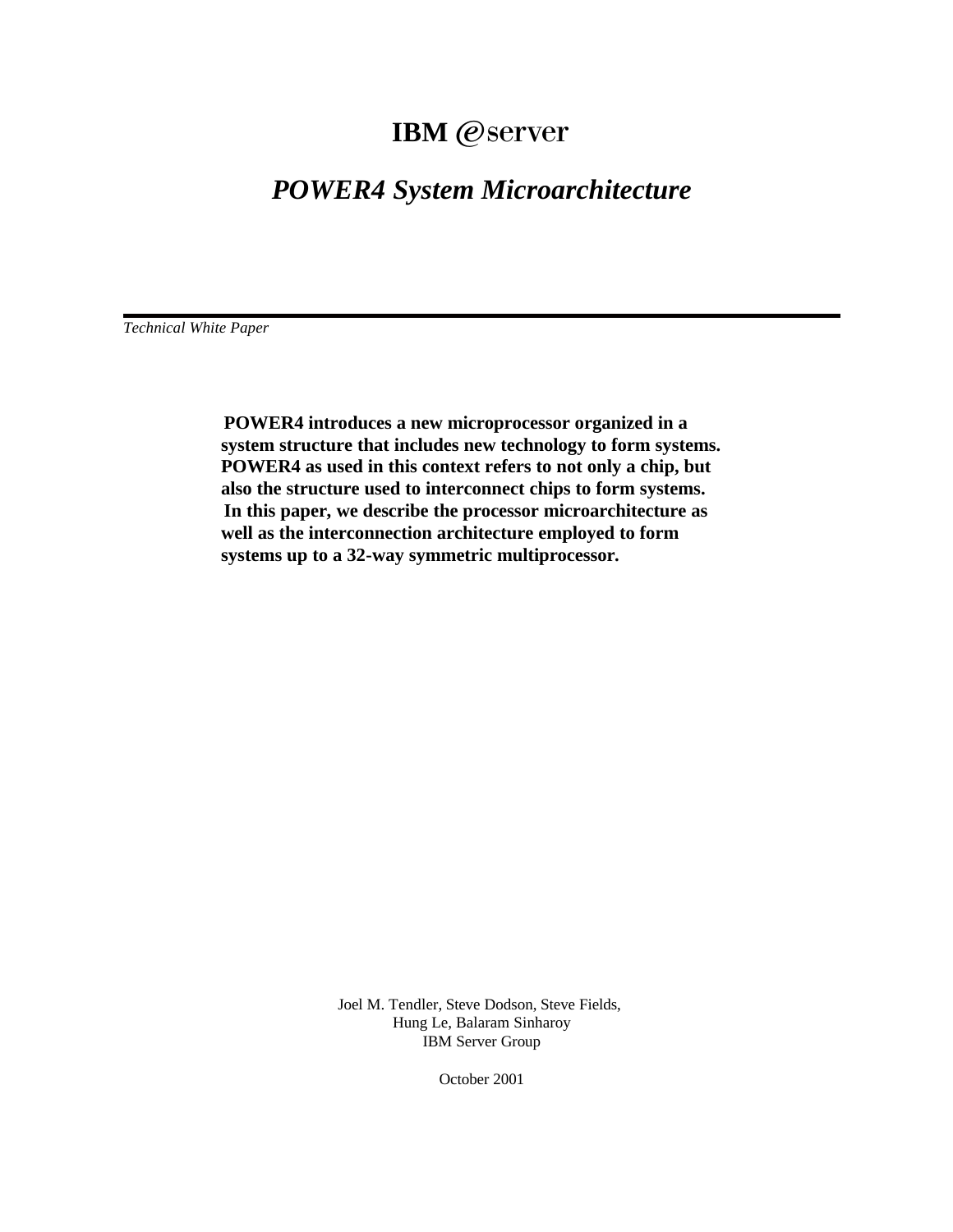# **IBM** @server

# *POWER4 System Microarchitecture*

*Technical White Paper*

**POWER4 introduces a new microprocessor organized in a system structure that includes new technology to form systems. POWER4 as used in this context refers to not only a chip, but also the structure used to interconnect chips to form systems. In this paper, we describe the processor microarchitecture as well as the interconnection architecture employed to form systems up to a 32-way symmetric multiprocessor.**

> Joel M. Tendler, Steve Dodson, Steve Fields, Hung Le, Balaram Sinharoy IBM Server Group

> > October 2001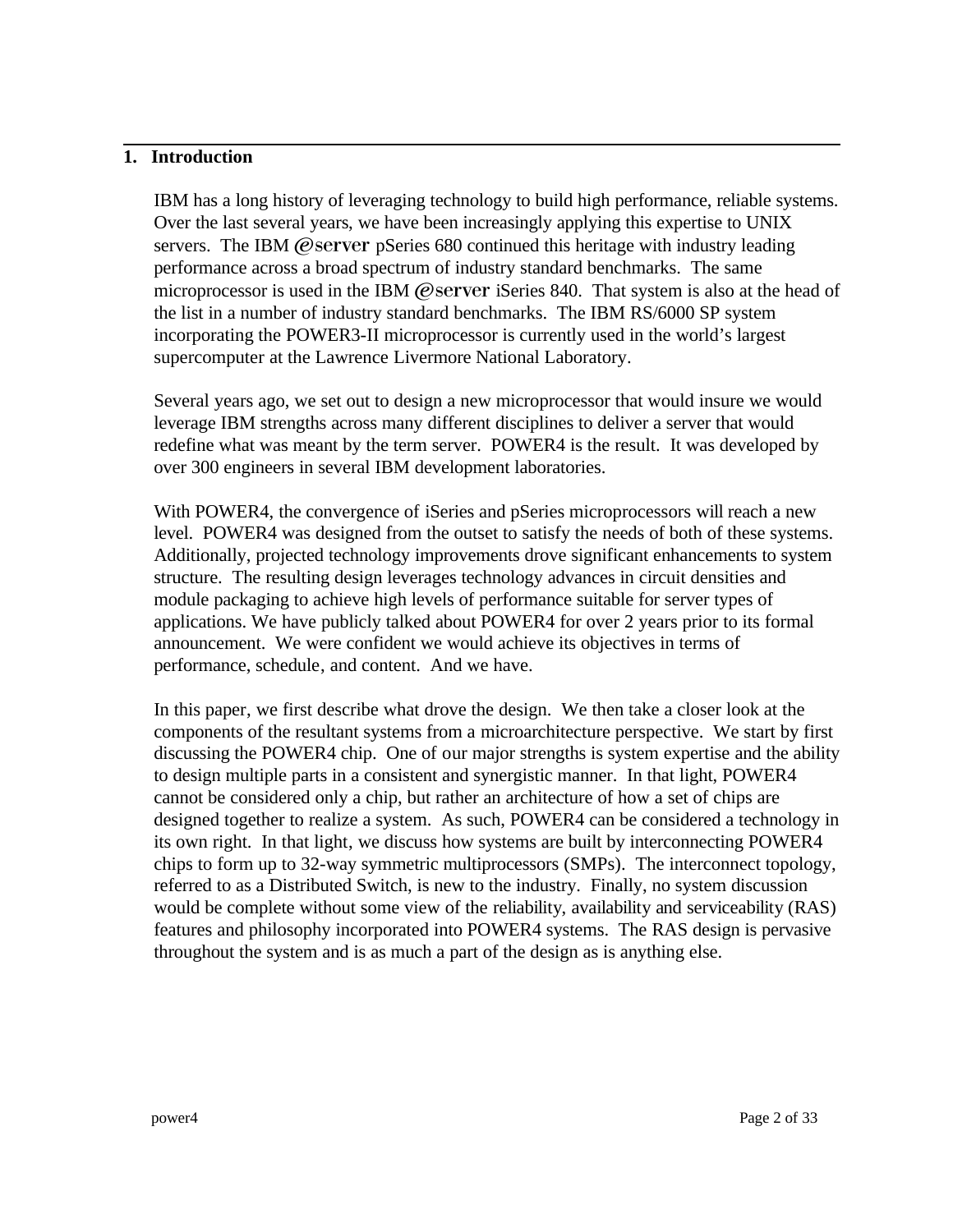## **1. Introduction**

IBM has a long history of leveraging technology to build high performance, reliable systems. Over the last several years, we have been increasingly applying this expertise to UNIX servers. The IBM  $\mathcal{O}$  server pSeries 680 continued this heritage with industry leading performance across a broad spectrum of industry standard benchmarks. The same microprocessor is used in the IBM  $\mathcal{O}$ server is also at the head of the head of the list in a number of industry standard benchmarks. The IBM RS/6000 SP system incorporating the POWER3-II microprocessor is currently used in the world's largest supercomputer at the Lawrence Livermore National Laboratory.

Several years ago, we set out to design a new microprocessor that would insure we would leverage IBM strengths across many different disciplines to deliver a server that would redefine what was meant by the term server. POWER4 is the result. It was developed by over 300 engineers in several IBM development laboratories.

With POWER4, the convergence of iSeries and pSeries microprocessors will reach a new level. POWER4 was designed from the outset to satisfy the needs of both of these systems. Additionally, projected technology improvements drove significant enhancements to system structure. The resulting design leverages technology advances in circuit densities and module packaging to achieve high levels of performance suitable for server types of applications. We have publicly talked about POWER4 for over 2 years prior to its formal announcement. We were confident we would achieve its objectives in terms of performance, schedule, and content. And we have.

In this paper, we first describe what drove the design. We then take a closer look at the components of the resultant systems from a microarchitecture perspective. We start by first discussing the POWER4 chip. One of our major strengths is system expertise and the ability to design multiple parts in a consistent and synergistic manner. In that light, POWER4 cannot be considered only a chip, but rather an architecture of how a set of chips are designed together to realize a system. As such, POWER4 can be considered a technology in its own right. In that light, we discuss how systems are built by interconnecting POWER4 chips to form up to 32-way symmetric multiprocessors (SMPs). The interconnect topology, referred to as a Distributed Switch, is new to the industry. Finally, no system discussion would be complete without some view of the reliability, availability and serviceability (RAS) features and philosophy incorporated into POWER4 systems. The RAS design is pervasive throughout the system and is as much a part of the design as is anything else.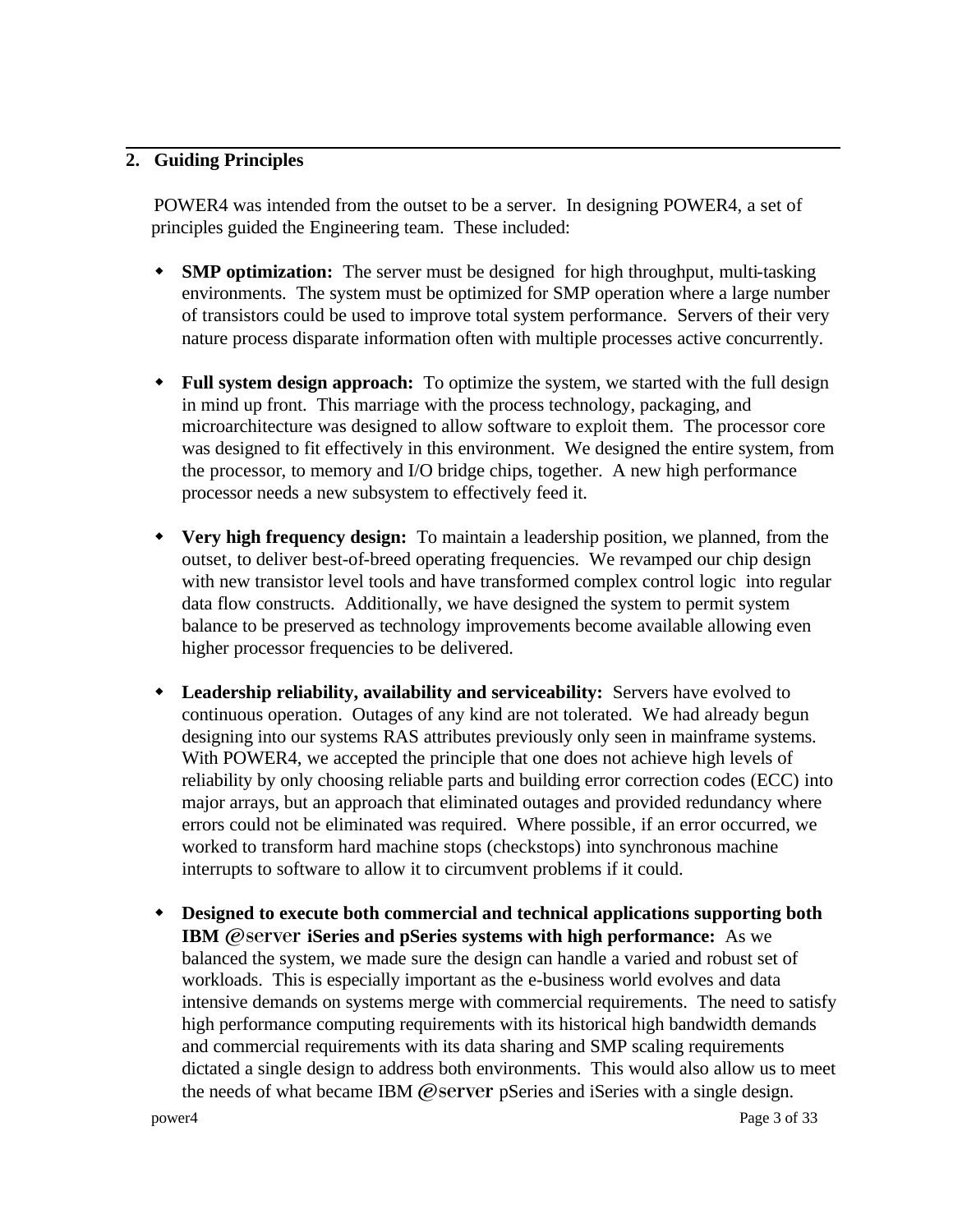## **2. Guiding Principles**

POWER4 was intended from the outset to be a server. In designing POWER4, a set of principles guided the Engineering team. These included:

- **SMP optimization:** The server must be designed for high throughput, multi-tasking environments. The system must be optimized for SMP operation where a large number of transistors could be used to improve total system performance. Servers of their very nature process disparate information often with multiple processes active concurrently.
- **Full system design approach:** To optimize the system, we started with the full design in mind up front. This marriage with the process technology, packaging, and microarchitecture was designed to allow software to exploit them. The processor core was designed to fit effectively in this environment. We designed the entire system, from the processor, to memory and I/O bridge chips, together. A new high performance processor needs a new subsystem to effectively feed it.
- Very high frequency design: To maintain a leadership position, we planned, from the outset, to deliver best-of-breed operating frequencies. We revamped our chip design with new transistor level tools and have transformed complex control logic into regular data flow constructs. Additionally, we have designed the system to permit system balance to be preserved as technology improvements become available allowing even higher processor frequencies to be delivered.
- w **Leadership reliability, availability and serviceability:** Servers have evolved to continuous operation. Outages of any kind are not tolerated. We had already begun designing into our systems RAS attributes previously only seen in mainframe systems. With POWER4, we accepted the principle that one does not achieve high levels of reliability by only choosing reliable parts and building error correction codes (ECC) into major arrays, but an approach that eliminated outages and provided redundancy where errors could not be eliminated was required. Where possible, if an error occurred, we worked to transform hard machine stops (checkstops) into synchronous machine interrupts to software to allow it to circumvent problems if it could.
- w **Designed to execute both commercial and technical applications supporting both IBM** @ Server **iSeries and pSeries systems with high performance:** As we balanced the system, we made sure the design can handle a varied and robust set of workloads. This is especially important as the e-business world evolves and data intensive demands on systems merge with commercial requirements. The need to satisfy high performance computing requirements with its historical high bandwidth demands and commercial requirements with its data sharing and SMP scaling requirements dictated a single design to address both environments. This would also allow us to meet the needs of what became IBM  $(\mathcal{O}$ server pSeries and iSeries with a single design.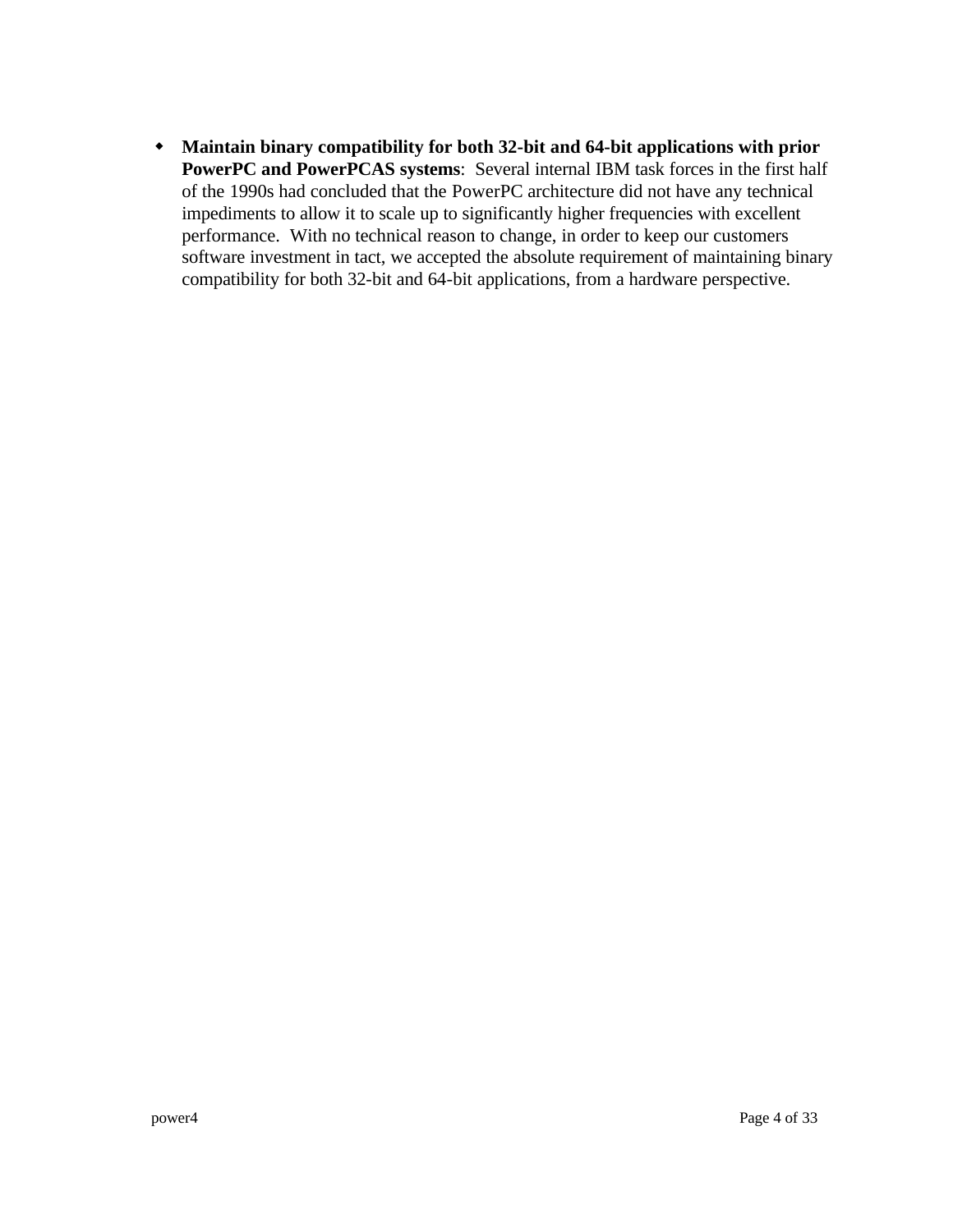w **Maintain binary compatibility for both 32-bit and 64-bit applications with prior PowerPC and PowerPCAS systems**: Several internal IBM task forces in the first half of the 1990s had concluded that the PowerPC architecture did not have any technical impediments to allow it to scale up to significantly higher frequencies with excellent performance. With no technical reason to change, in order to keep our customers software investment in tact, we accepted the absolute requirement of maintaining binary compatibility for both 32-bit and 64-bit applications, from a hardware perspective.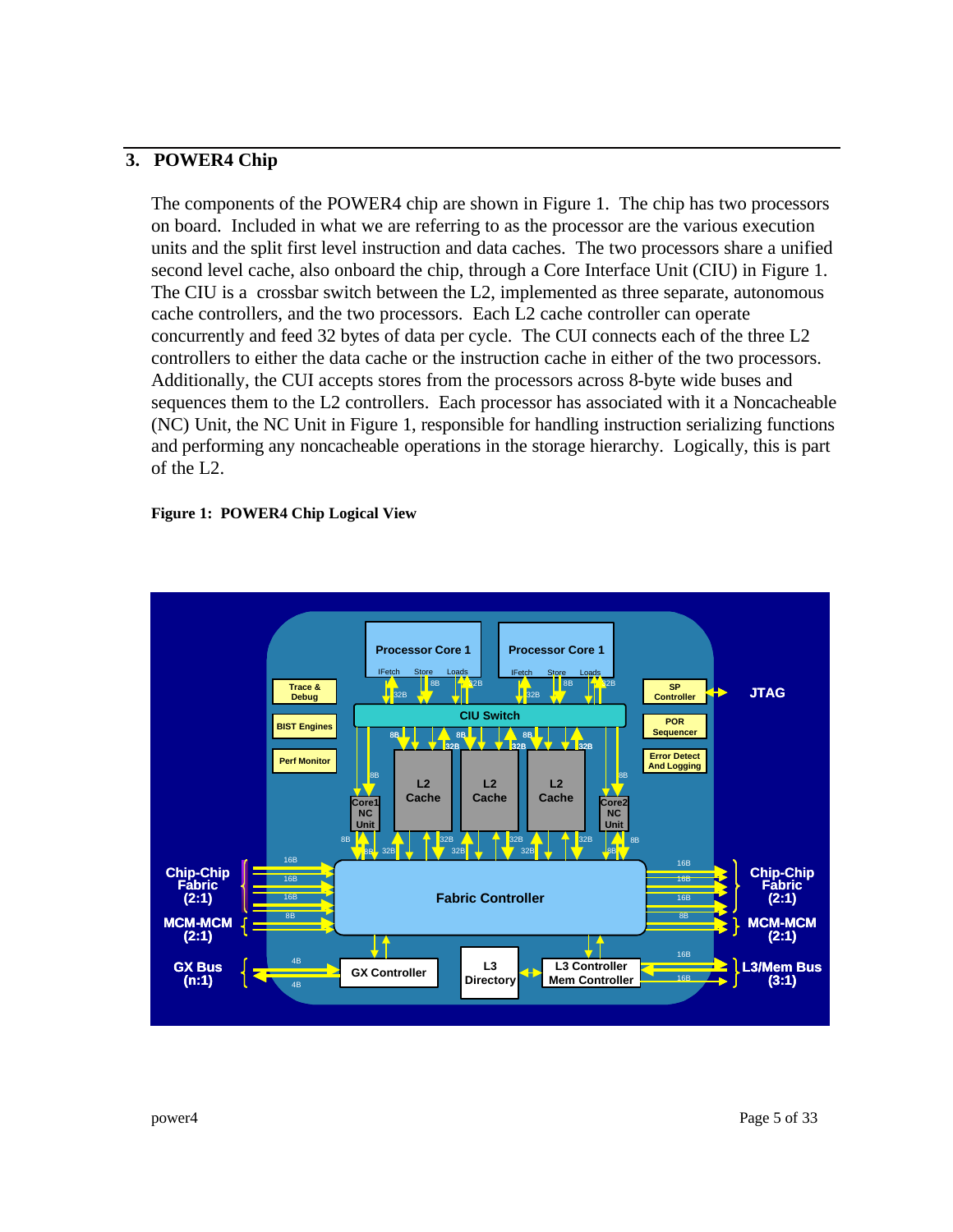## **3. POWER4 Chip**

The components of the POWER4 chip are shown in Figure 1. The chip has two processors on board. Included in what we are referring to as the processor are the various execution units and the split first level instruction and data caches. The two processors share a unified second level cache, also onboard the chip, through a Core Interface Unit (CIU) in Figure 1. The CIU is a crossbar switch between the L2, implemented as three separate, autonomous cache controllers, and the two processors. Each L2 cache controller can operate concurrently and feed 32 bytes of data per cycle. The CUI connects each of the three L2 controllers to either the data cache or the instruction cache in either of the two processors. Additionally, the CUI accepts stores from the processors across 8-byte wide buses and sequences them to the L2 controllers. Each processor has associated with it a Noncacheable (NC) Unit, the NC Unit in Figure 1, responsible for handling instruction serializing functions and performing any noncacheable operations in the storage hierarchy. Logically, this is part of the L2.

#### **Figure 1: POWER4 Chip Logical View**

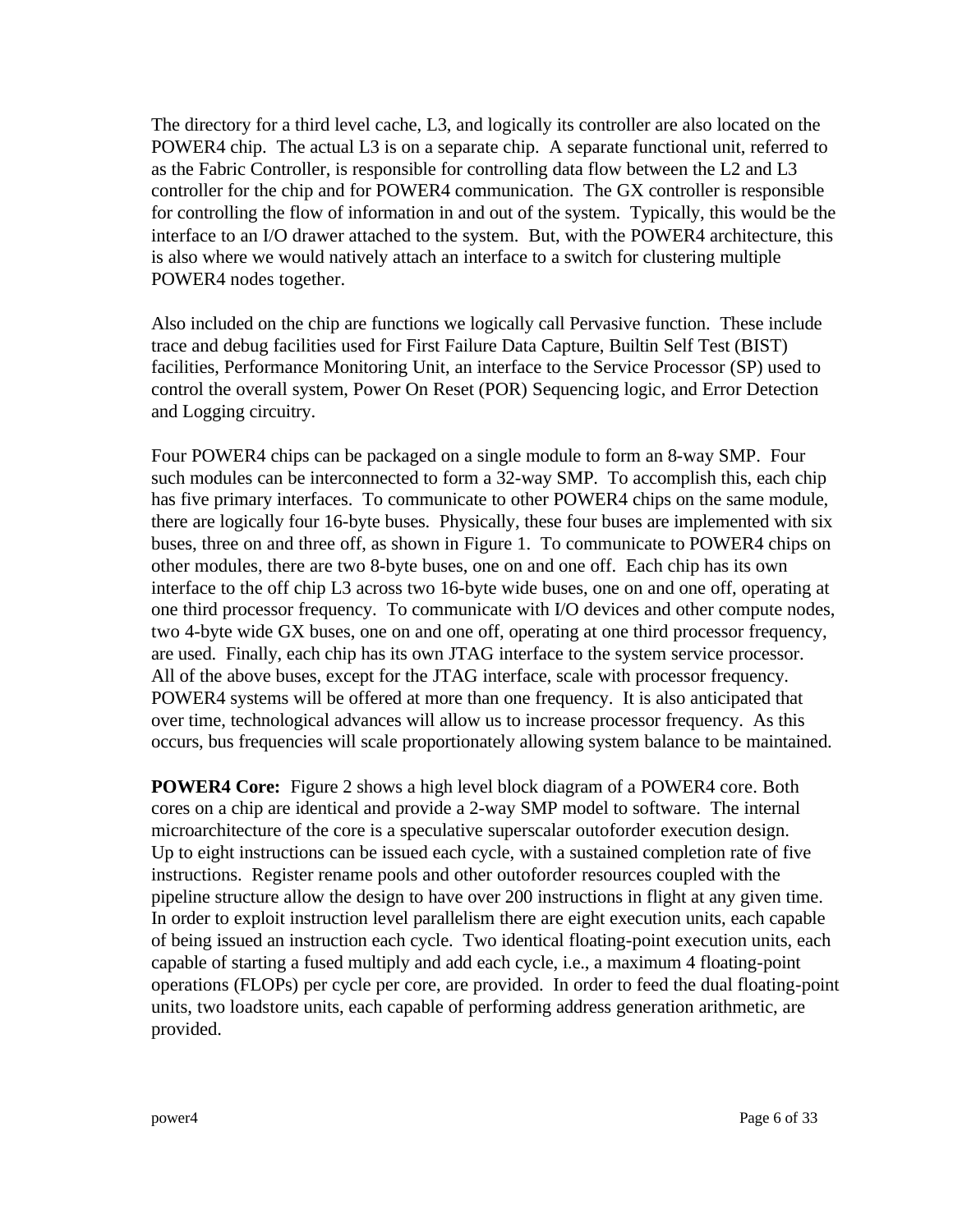The directory for a third level cache, L3, and logically its controller are also located on the POWER4 chip. The actual L3 is on a separate chip. A separate functional unit, referred to as the Fabric Controller, is responsible for controlling data flow between the L2 and L3 controller for the chip and for POWER4 communication. The GX controller is responsible for controlling the flow of information in and out of the system. Typically, this would be the interface to an I/O drawer attached to the system. But, with the POWER4 architecture, this is also where we would natively attach an interface to a switch for clustering multiple POWER4 nodes together.

Also included on the chip are functions we logically call Pervasive function. These include trace and debug facilities used for First Failure Data Capture, Builtin Self Test (BIST) facilities, Performance Monitoring Unit, an interface to the Service Processor (SP) used to control the overall system, Power On Reset (POR) Sequencing logic, and Error Detection and Logging circuitry.

Four POWER4 chips can be packaged on a single module to form an 8-way SMP. Four such modules can be interconnected to form a 32-way SMP. To accomplish this, each chip has five primary interfaces. To communicate to other POWER4 chips on the same module, there are logically four 16-byte buses. Physically, these four buses are implemented with six buses, three on and three off, as shown in Figure 1. To communicate to POWER4 chips on other modules, there are two 8-byte buses, one on and one off. Each chip has its own interface to the off chip L3 across two 16-byte wide buses, one on and one off, operating at one third processor frequency. To communicate with I/O devices and other compute nodes, two 4-byte wide GX buses, one on and one off, operating at one third processor frequency, are used. Finally, each chip has its own JTAG interface to the system service processor. All of the above buses, except for the JTAG interface, scale with processor frequency. POWER4 systems will be offered at more than one frequency. It is also anticipated that over time, technological advances will allow us to increase processor frequency. As this occurs, bus frequencies will scale proportionately allowing system balance to be maintained.

**POWER4 Core:** Figure 2 shows a high level block diagram of a POWER4 core. Both cores on a chip are identical and provide a 2-way SMP model to software. The internal microarchitecture of the core is a speculative superscalar outoforder execution design. Up to eight instructions can be issued each cycle, with a sustained completion rate of five instructions. Register rename pools and other outoforder resources coupled with the pipeline structure allow the design to have over 200 instructions in flight at any given time. In order to exploit instruction level parallelism there are eight execution units, each capable of being issued an instruction each cycle. Two identical floating-point execution units, each capable of starting a fused multiply and add each cycle, i.e., a maximum 4 floating-point operations (FLOPs) per cycle per core, are provided. In order to feed the dual floating-point units, two loadstore units, each capable of performing address generation arithmetic, are provided.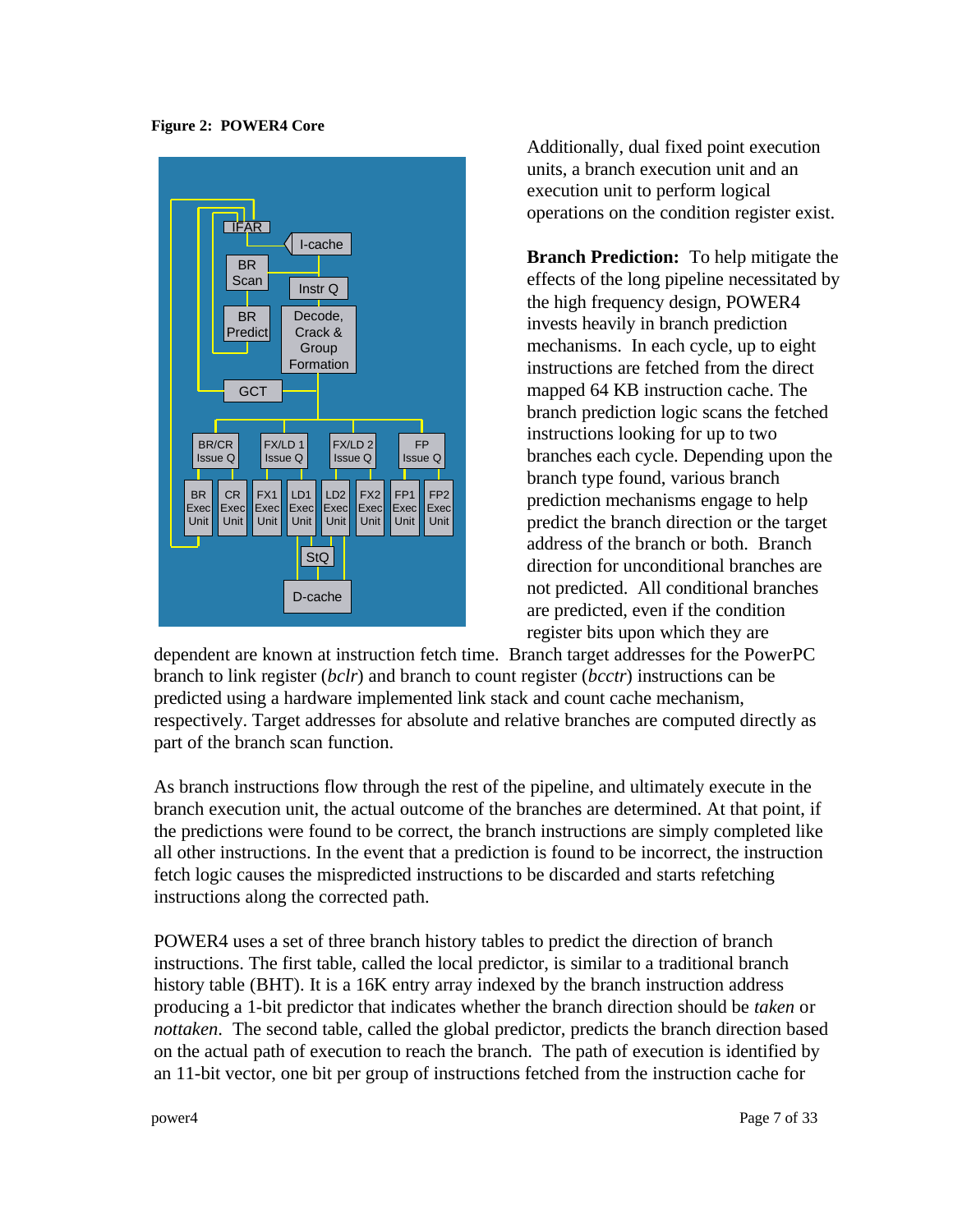**Figure 2: POWER4 Core**



Additionally, dual fixed point execution units, a branch execution unit and an execution unit to perform logical operations on the condition register exist.

**Branch Prediction:** To help mitigate the effects of the long pipeline necessitated by the high frequency design, POWER4 invests heavily in branch prediction mechanisms. In each cycle, up to eight instructions are fetched from the direct mapped 64 KB instruction cache. The branch prediction logic scans the fetched instructions looking for up to two branches each cycle. Depending upon the branch type found, various branch prediction mechanisms engage to help predict the branch direction or the target address of the branch or both. Branch direction for unconditional branches are not predicted. All conditional branches are predicted, even if the condition register bits upon which they are

dependent are known at instruction fetch time. Branch target addresses for the PowerPC branch to link register (*bclr*) and branch to count register (*bcctr*) instructions can be predicted using a hardware implemented link stack and count cache mechanism, respectively. Target addresses for absolute and relative branches are computed directly as part of the branch scan function.

As branch instructions flow through the rest of the pipeline, and ultimately execute in the branch execution unit, the actual outcome of the branches are determined. At that point, if the predictions were found to be correct, the branch instructions are simply completed like all other instructions. In the event that a prediction is found to be incorrect, the instruction fetch logic causes the mispredicted instructions to be discarded and starts refetching instructions along the corrected path.

POWER4 uses a set of three branch history tables to predict the direction of branch instructions. The first table, called the local predictor, is similar to a traditional branch history table (BHT). It is a 16K entry array indexed by the branch instruction address producing a 1-bit predictor that indicates whether the branch direction should be *taken* or *nottaken*. The second table, called the global predictor, predicts the branch direction based on the actual path of execution to reach the branch. The path of execution is identified by an 11-bit vector, one bit per group of instructions fetched from the instruction cache for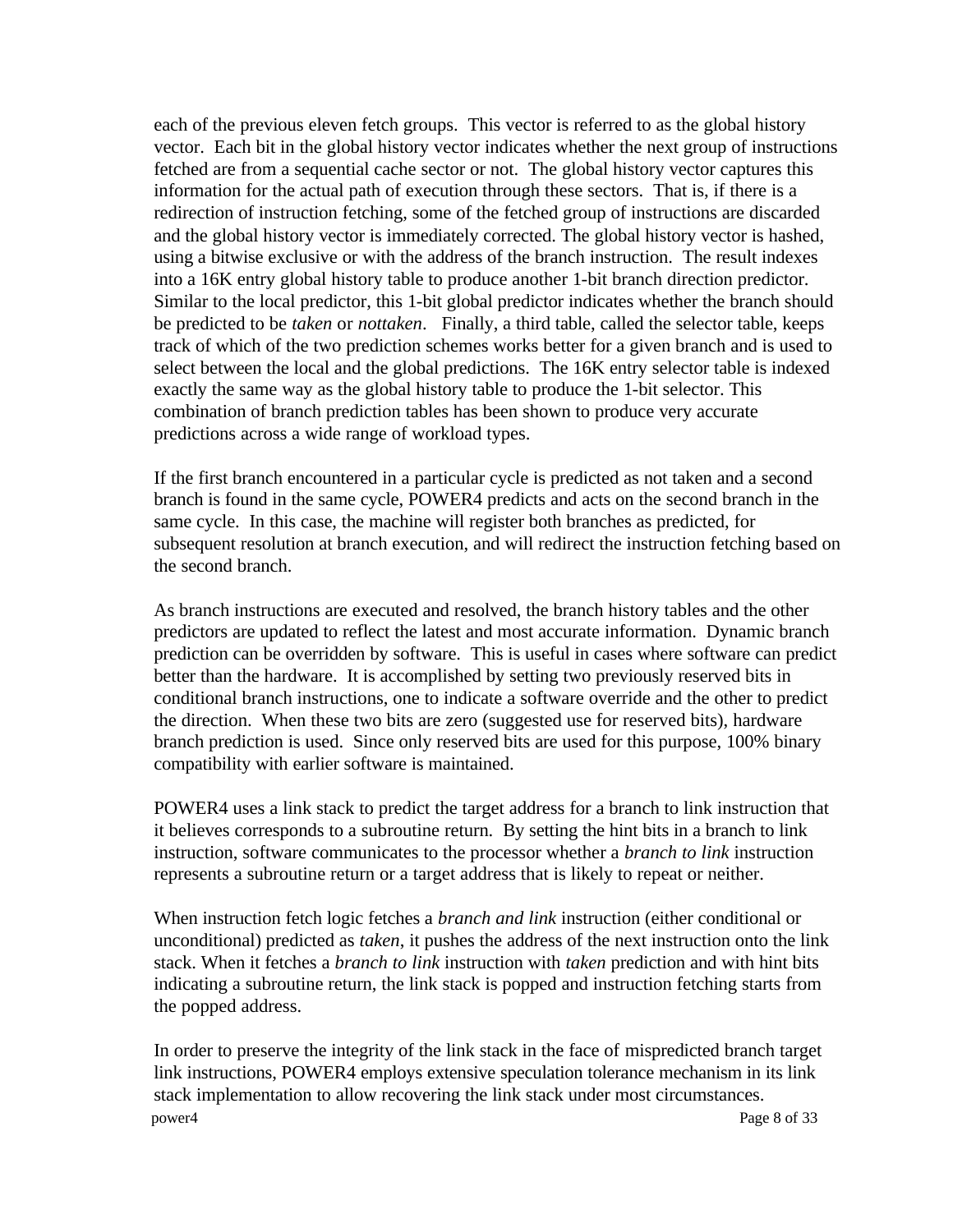each of the previous eleven fetch groups. This vector is referred to as the global history vector. Each bit in the global history vector indicates whether the next group of instructions fetched are from a sequential cache sector or not. The global history vector captures this information for the actual path of execution through these sectors. That is, if there is a redirection of instruction fetching, some of the fetched group of instructions are discarded and the global history vector is immediately corrected. The global history vector is hashed, using a bitwise exclusive or with the address of the branch instruction. The result indexes into a 16K entry global history table to produce another 1-bit branch direction predictor. Similar to the local predictor, this 1-bit global predictor indicates whether the branch should be predicted to be *taken* or *nottaken*. Finally, a third table, called the selector table, keeps track of which of the two prediction schemes works better for a given branch and is used to select between the local and the global predictions. The 16K entry selector table is indexed exactly the same way as the global history table to produce the 1-bit selector. This combination of branch prediction tables has been shown to produce very accurate predictions across a wide range of workload types.

If the first branch encountered in a particular cycle is predicted as not taken and a second branch is found in the same cycle, POWER4 predicts and acts on the second branch in the same cycle. In this case, the machine will register both branches as predicted, for subsequent resolution at branch execution, and will redirect the instruction fetching based on the second branch.

As branch instructions are executed and resolved, the branch history tables and the other predictors are updated to reflect the latest and most accurate information. Dynamic branch prediction can be overridden by software. This is useful in cases where software can predict better than the hardware. It is accomplished by setting two previously reserved bits in conditional branch instructions, one to indicate a software override and the other to predict the direction. When these two bits are zero (suggested use for reserved bits), hardware branch prediction is used. Since only reserved bits are used for this purpose, 100% binary compatibility with earlier software is maintained.

POWER4 uses a link stack to predict the target address for a branch to link instruction that it believes corresponds to a subroutine return. By setting the hint bits in a branch to link instruction, software communicates to the processor whether a *branch to link* instruction represents a subroutine return or a target address that is likely to repeat or neither.

When instruction fetch logic fetches a *branch and link* instruction (either conditional or unconditional) predicted as *taken*, it pushes the address of the next instruction onto the link stack. When it fetches a *branch to link* instruction with *taken* prediction and with hint bits indicating a subroutine return, the link stack is popped and instruction fetching starts from the popped address.

In order to preserve the integrity of the link stack in the face of mispredicted branch target link instructions, POWER4 employs extensive speculation tolerance mechanism in its link stack implementation to allow recovering the link stack under most circumstances. power4 Page 8 of 33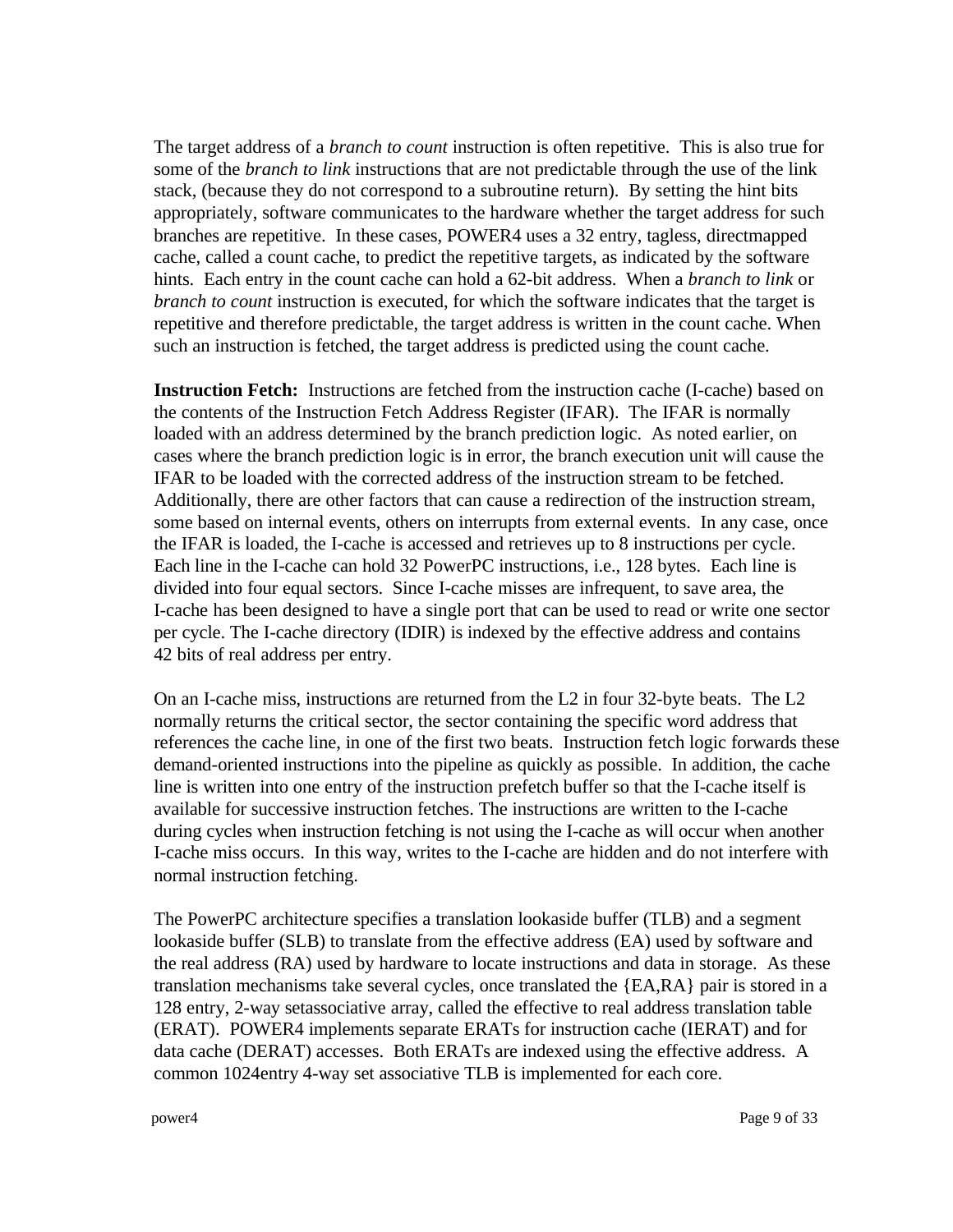The target address of a *branch to count* instruction is often repetitive. This is also true for some of the *branch to link* instructions that are not predictable through the use of the link stack, (because they do not correspond to a subroutine return). By setting the hint bits appropriately, software communicates to the hardware whether the target address for such branches are repetitive. In these cases, POWER4 uses a 32 entry, tagless, directmapped cache, called a count cache, to predict the repetitive targets, as indicated by the software hints. Each entry in the count cache can hold a 62-bit address. When a *branch to link* or *branch to count* instruction is executed, for which the software indicates that the target is repetitive and therefore predictable, the target address is written in the count cache. When such an instruction is fetched, the target address is predicted using the count cache.

**Instruction Fetch:** Instructions are fetched from the instruction cache (I-cache) based on the contents of the Instruction Fetch Address Register (IFAR). The IFAR is normally loaded with an address determined by the branch prediction logic. As noted earlier, on cases where the branch prediction logic is in error, the branch execution unit will cause the IFAR to be loaded with the corrected address of the instruction stream to be fetched. Additionally, there are other factors that can cause a redirection of the instruction stream, some based on internal events, others on interrupts from external events. In any case, once the IFAR is loaded, the I-cache is accessed and retrieves up to 8 instructions per cycle. Each line in the I-cache can hold 32 PowerPC instructions, i.e., 128 bytes. Each line is divided into four equal sectors. Since I-cache misses are infrequent, to save area, the I-cache has been designed to have a single port that can be used to read or write one sector per cycle. The I-cache directory (IDIR) is indexed by the effective address and contains 42 bits of real address per entry.

On an I-cache miss, instructions are returned from the L2 in four 32-byte beats. The L2 normally returns the critical sector, the sector containing the specific word address that references the cache line, in one of the first two beats. Instruction fetch logic forwards these demand-oriented instructions into the pipeline as quickly as possible. In addition, the cache line is written into one entry of the instruction prefetch buffer so that the I-cache itself is available for successive instruction fetches. The instructions are written to the I-cache during cycles when instruction fetching is not using the I-cache as will occur when another I-cache miss occurs. In this way, writes to the I-cache are hidden and do not interfere with normal instruction fetching.

The PowerPC architecture specifies a translation lookaside buffer (TLB) and a segment lookaside buffer (SLB) to translate from the effective address (EA) used by software and the real address (RA) used by hardware to locate instructions and data in storage. As these translation mechanisms take several cycles, once translated the {EA,RA} pair is stored in a 128 entry, 2-way setassociative array, called the effective to real address translation table (ERAT). POWER4 implements separate ERATs for instruction cache (IERAT) and for data cache (DERAT) accesses. Both ERATs are indexed using the effective address. A common 1024entry 4-way set associative TLB is implemented for each core.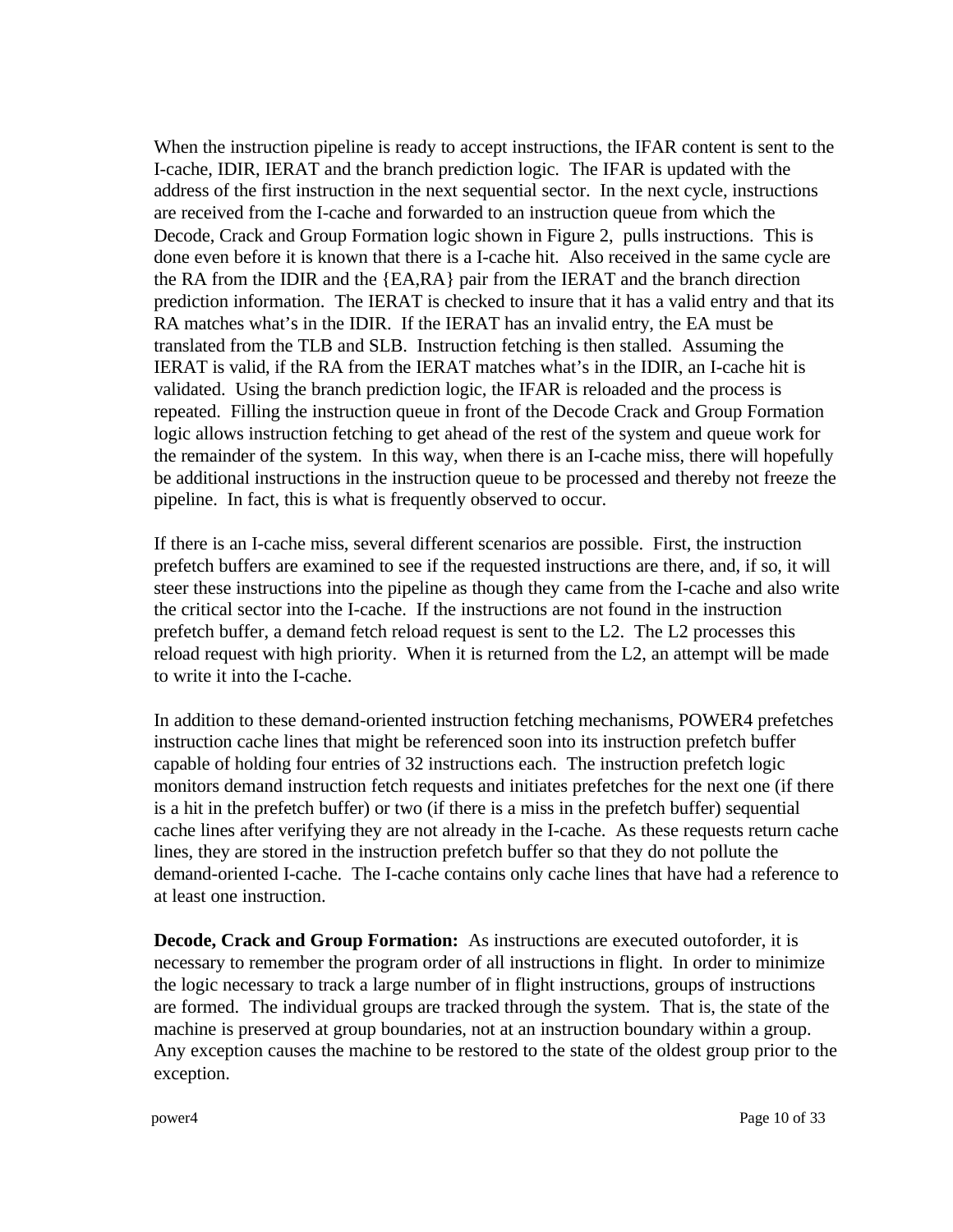When the instruction pipeline is ready to accept instructions, the IFAR content is sent to the I-cache, IDIR, IERAT and the branch prediction logic. The IFAR is updated with the address of the first instruction in the next sequential sector. In the next cycle, instructions are received from the I-cache and forwarded to an instruction queue from which the Decode, Crack and Group Formation logic shown in Figure 2, pulls instructions. This is done even before it is known that there is a I-cache hit. Also received in the same cycle are the RA from the IDIR and the {EA,RA} pair from the IERAT and the branch direction prediction information. The IERAT is checked to insure that it has a valid entry and that its RA matches what's in the IDIR. If the IERAT has an invalid entry, the EA must be translated from the TLB and SLB. Instruction fetching is then stalled. Assuming the IERAT is valid, if the RA from the IERAT matches what's in the IDIR, an I-cache hit is validated. Using the branch prediction logic, the IFAR is reloaded and the process is repeated. Filling the instruction queue in front of the Decode Crack and Group Formation logic allows instruction fetching to get ahead of the rest of the system and queue work for the remainder of the system. In this way, when there is an I-cache miss, there will hopefully be additional instructions in the instruction queue to be processed and thereby not freeze the pipeline. In fact, this is what is frequently observed to occur.

If there is an I-cache miss, several different scenarios are possible. First, the instruction prefetch buffers are examined to see if the requested instructions are there, and, if so, it will steer these instructions into the pipeline as though they came from the I-cache and also write the critical sector into the I-cache. If the instructions are not found in the instruction prefetch buffer, a demand fetch reload request is sent to the L2. The L2 processes this reload request with high priority. When it is returned from the L2, an attempt will be made to write it into the I-cache.

In addition to these demand-oriented instruction fetching mechanisms, POWER4 prefetches instruction cache lines that might be referenced soon into its instruction prefetch buffer capable of holding four entries of 32 instructions each. The instruction prefetch logic monitors demand instruction fetch requests and initiates prefetches for the next one (if there is a hit in the prefetch buffer) or two (if there is a miss in the prefetch buffer) sequential cache lines after verifying they are not already in the I-cache. As these requests return cache lines, they are stored in the instruction prefetch buffer so that they do not pollute the demand-oriented I-cache. The I-cache contains only cache lines that have had a reference to at least one instruction.

**Decode, Crack and Group Formation:** As instructions are executed outoforder, it is necessary to remember the program order of all instructions in flight. In order to minimize the logic necessary to track a large number of in flight instructions, groups of instructions are formed. The individual groups are tracked through the system. That is, the state of the machine is preserved at group boundaries, not at an instruction boundary within a group. Any exception causes the machine to be restored to the state of the oldest group prior to the exception.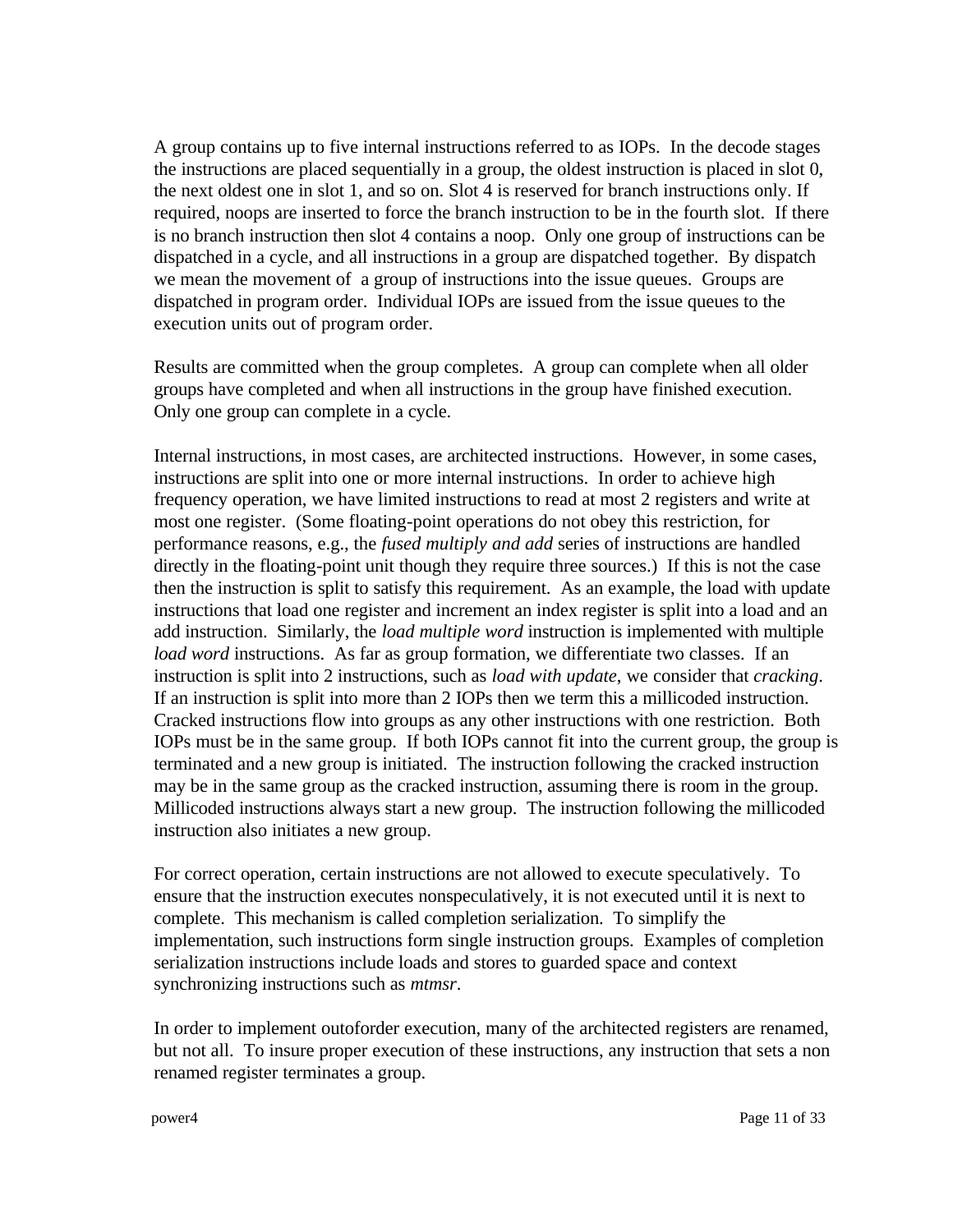A group contains up to five internal instructions referred to as IOPs. In the decode stages the instructions are placed sequentially in a group, the oldest instruction is placed in slot 0, the next oldest one in slot 1, and so on. Slot 4 is reserved for branch instructions only. If required, noops are inserted to force the branch instruction to be in the fourth slot. If there is no branch instruction then slot 4 contains a noop. Only one group of instructions can be dispatched in a cycle, and all instructions in a group are dispatched together. By dispatch we mean the movement of a group of instructions into the issue queues. Groups are dispatched in program order. Individual IOPs are issued from the issue queues to the execution units out of program order.

Results are committed when the group completes. A group can complete when all older groups have completed and when all instructions in the group have finished execution. Only one group can complete in a cycle.

Internal instructions, in most cases, are architected instructions. However, in some cases, instructions are split into one or more internal instructions. In order to achieve high frequency operation, we have limited instructions to read at most 2 registers and write at most one register. (Some floating-point operations do not obey this restriction, for performance reasons, e.g., the *fused multiply and add* series of instructions are handled directly in the floating-point unit though they require three sources.) If this is not the case then the instruction is split to satisfy this requirement. As an example, the load with update instructions that load one register and increment an index register is split into a load and an add instruction. Similarly, the *load multiple word* instruction is implemented with multiple *load word* instructions. As far as group formation, we differentiate two classes. If an instruction is split into 2 instructions, such as *load with update*, we consider that *cracking*. If an instruction is split into more than 2 IOPs then we term this a millicoded instruction. Cracked instructions flow into groups as any other instructions with one restriction. Both IOPs must be in the same group. If both IOPs cannot fit into the current group, the group is terminated and a new group is initiated. The instruction following the cracked instruction may be in the same group as the cracked instruction, assuming there is room in the group. Millicoded instructions always start a new group. The instruction following the millicoded instruction also initiates a new group.

For correct operation, certain instructions are not allowed to execute speculatively. To ensure that the instruction executes nonspeculatively, it is not executed until it is next to complete. This mechanism is called completion serialization. To simplify the implementation, such instructions form single instruction groups. Examples of completion serialization instructions include loads and stores to guarded space and context synchronizing instructions such as *mtmsr*.

In order to implement outoforder execution, many of the architected registers are renamed, but not all. To insure proper execution of these instructions, any instruction that sets a non renamed register terminates a group.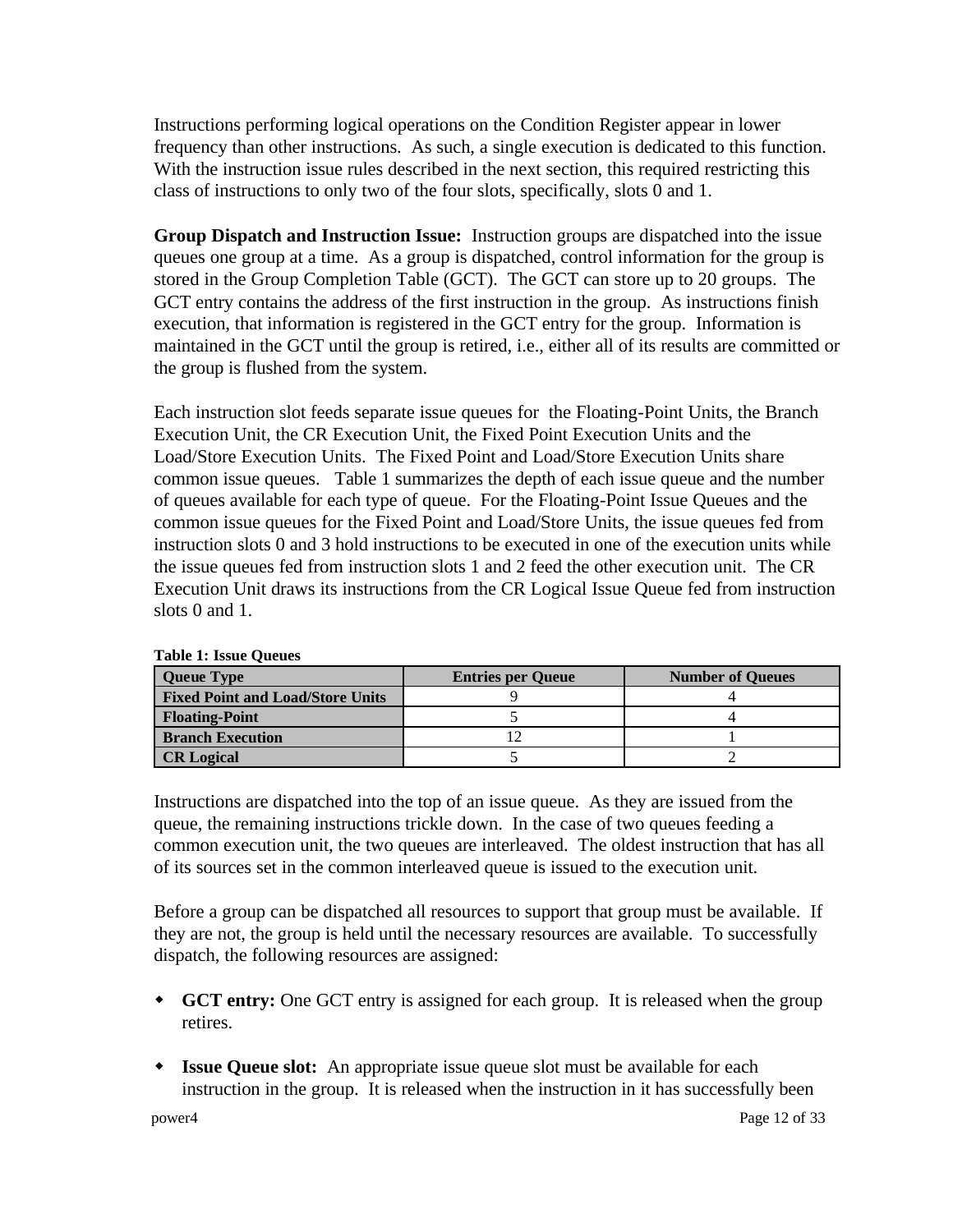Instructions performing logical operations on the Condition Register appear in lower frequency than other instructions. As such, a single execution is dedicated to this function. With the instruction issue rules described in the next section, this required restricting this class of instructions to only two of the four slots, specifically, slots 0 and 1.

**Group Dispatch and Instruction Issue:** Instruction groups are dispatched into the issue queues one group at a time. As a group is dispatched, control information for the group is stored in the Group Completion Table (GCT). The GCT can store up to 20 groups. The GCT entry contains the address of the first instruction in the group. As instructions finish execution, that information is registered in the GCT entry for the group. Information is maintained in the GCT until the group is retired, i.e., either all of its results are committed or the group is flushed from the system.

Each instruction slot feeds separate issue queues for the Floating-Point Units, the Branch Execution Unit, the CR Execution Unit, the Fixed Point Execution Units and the Load/Store Execution Units. The Fixed Point and Load/Store Execution Units share common issue queues. Table 1 summarizes the depth of each issue queue and the number of queues available for each type of queue. For the Floating-Point Issue Queues and the common issue queues for the Fixed Point and Load/Store Units, the issue queues fed from instruction slots 0 and 3 hold instructions to be executed in one of the execution units while the issue queues fed from instruction slots 1 and 2 feed the other execution unit. The CR Execution Unit draws its instructions from the CR Logical Issue Queue fed from instruction slots 0 and 1.

| <b>Queue Type</b>                       | <b>Entries per Queue</b> | <b>Number of Queues</b> |
|-----------------------------------------|--------------------------|-------------------------|
| <b>Fixed Point and Load/Store Units</b> |                          |                         |
| <b>Floating-Point</b>                   |                          |                         |
| <b>Branch Execution</b>                 |                          |                         |
| <b>CR Logical</b>                       |                          |                         |

**Table 1: Issue Queues**

Instructions are dispatched into the top of an issue queue. As they are issued from the queue, the remaining instructions trickle down. In the case of two queues feeding a common execution unit, the two queues are interleaved. The oldest instruction that has all of its sources set in the common interleaved queue is issued to the execution unit.

Before a group can be dispatched all resources to support that group must be available. If they are not, the group is held until the necessary resources are available. To successfully dispatch, the following resources are assigned:

- **GCT entry:** One GCT entry is assigned for each group. It is released when the group retires.
- **Issue Queue slot:** An appropriate issue queue slot must be available for each instruction in the group. It is released when the instruction in it has successfully been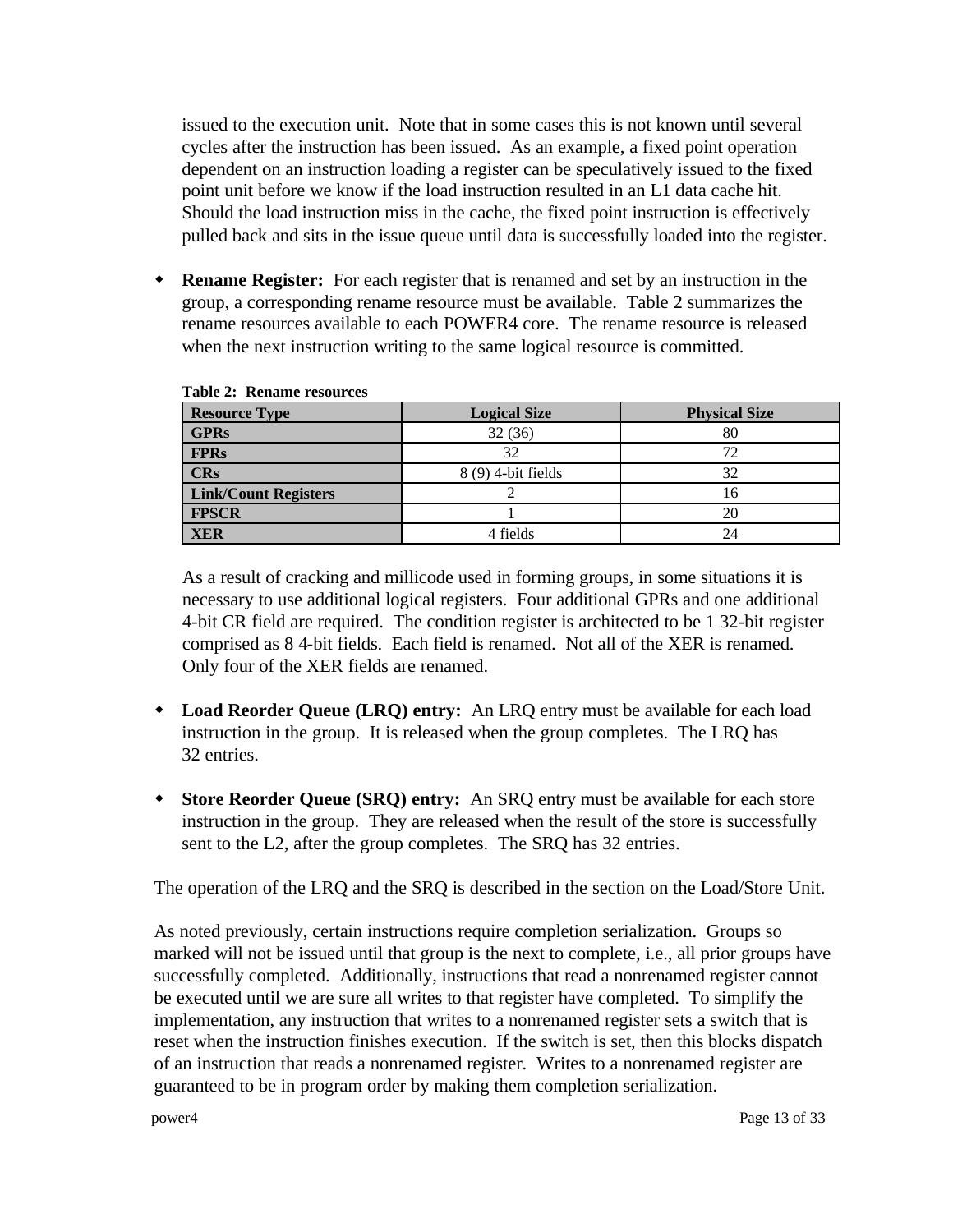issued to the execution unit. Note that in some cases this is not known until several cycles after the instruction has been issued. As an example, a fixed point operation dependent on an instruction loading a register can be speculatively issued to the fixed point unit before we know if the load instruction resulted in an L1 data cache hit. Should the load instruction miss in the cache, the fixed point instruction is effectively pulled back and sits in the issue queue until data is successfully loaded into the register.

**Rename Register:** For each register that is renamed and set by an instruction in the group, a corresponding rename resource must be available. Table 2 summarizes the rename resources available to each POWER4 core. The rename resource is released when the next instruction writing to the same logical resource is committed.

| <b>Resource Type</b>        | <b>Logical Size</b> | <b>Physical Size</b> |  |  |
|-----------------------------|---------------------|----------------------|--|--|
| <b>GPRs</b>                 | 32(36)              | 80                   |  |  |
| <b>FPRs</b>                 | 32                  | 72                   |  |  |
| <b>CRs</b>                  | 8 (9) 4-bit fields  | 32                   |  |  |
| <b>Link/Count Registers</b> |                     | 16                   |  |  |
| <b>FPSCR</b>                |                     | 20                   |  |  |
| XER                         | 4 fields            | 24                   |  |  |

#### **Table 2: Rename resources**

As a result of cracking and millicode used in forming groups, in some situations it is necessary to use additional logical registers. Four additional GPRs and one additional 4-bit CR field are required. The condition register is architected to be 1 32-bit register comprised as 8 4-bit fields. Each field is renamed. Not all of the XER is renamed. Only four of the XER fields are renamed.

- w **Load Reorder Queue (LRQ) entry:** An LRQ entry must be available for each load instruction in the group. It is released when the group completes. The LRQ has 32 entries.
- w **Store Reorder Queue (SRQ) entry:** An SRQ entry must be available for each store instruction in the group. They are released when the result of the store is successfully sent to the L2, after the group completes. The SRQ has 32 entries.

The operation of the LRQ and the SRQ is described in the section on the Load/Store Unit.

As noted previously, certain instructions require completion serialization. Groups so marked will not be issued until that group is the next to complete, i.e., all prior groups have successfully completed. Additionally, instructions that read a nonrenamed register cannot be executed until we are sure all writes to that register have completed. To simplify the implementation, any instruction that writes to a nonrenamed register sets a switch that is reset when the instruction finishes execution. If the switch is set, then this blocks dispatch of an instruction that reads a nonrenamed register. Writes to a nonrenamed register are guaranteed to be in program order by making them completion serialization.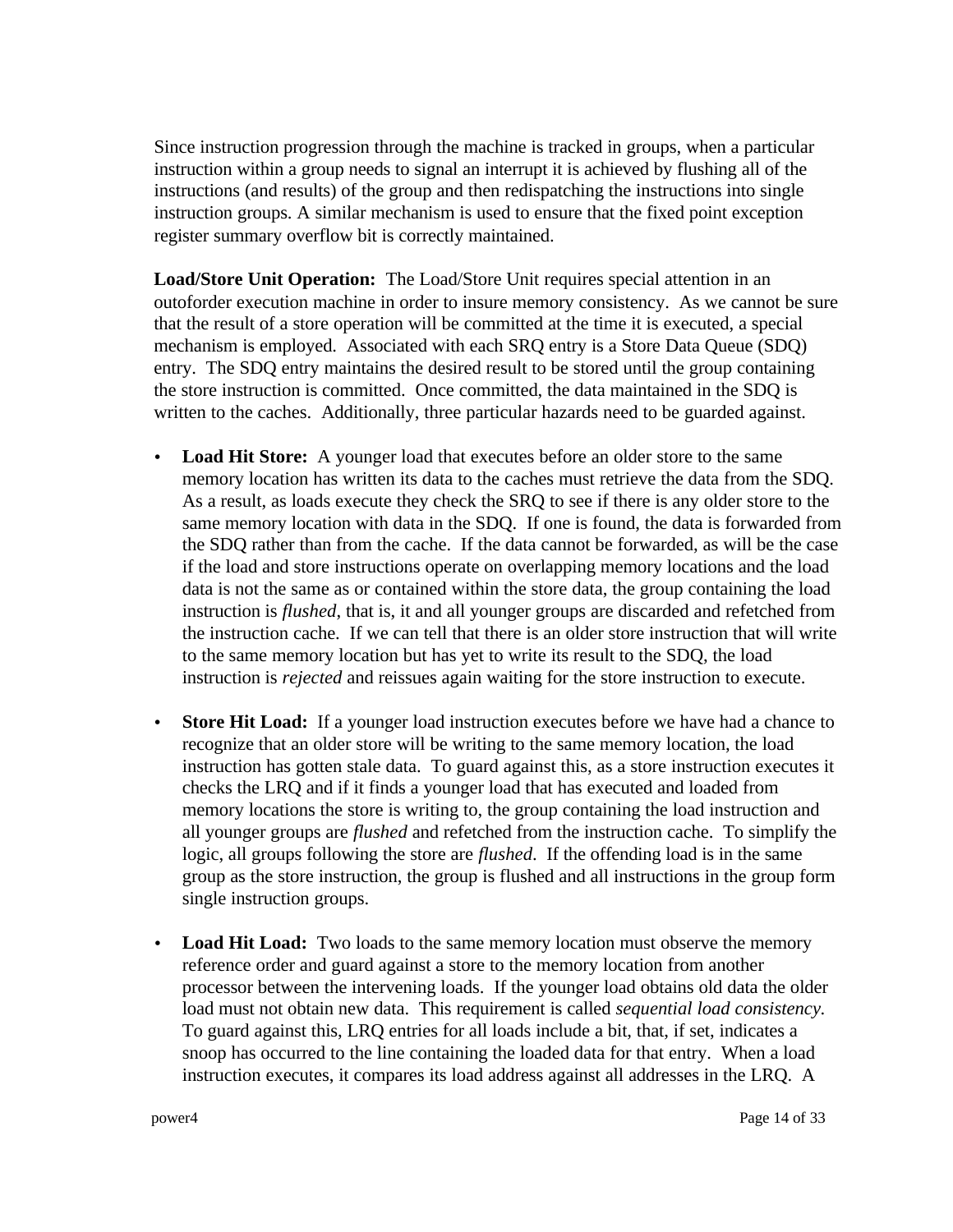Since instruction progression through the machine is tracked in groups, when a particular instruction within a group needs to signal an interrupt it is achieved by flushing all of the instructions (and results) of the group and then redispatching the instructions into single instruction groups. A similar mechanism is used to ensure that the fixed point exception register summary overflow bit is correctly maintained.

**Load/Store Unit Operation:** The Load/Store Unit requires special attention in an outoforder execution machine in order to insure memory consistency. As we cannot be sure that the result of a store operation will be committed at the time it is executed, a special mechanism is employed. Associated with each SRQ entry is a Store Data Queue (SDQ) entry. The SDQ entry maintains the desired result to be stored until the group containing the store instruction is committed. Once committed, the data maintained in the SDQ is written to the caches. Additionally, three particular hazards need to be guarded against.

- ü **Load Hit Store:** A younger load that executes before an older store to the same memory location has written its data to the caches must retrieve the data from the SDQ. As a result, as loads execute they check the SRQ to see if there is any older store to the same memory location with data in the SDQ. If one is found, the data is forwarded from the SDQ rather than from the cache. If the data cannot be forwarded, as will be the case if the load and store instructions operate on overlapping memory locations and the load data is not the same as or contained within the store data, the group containing the load instruction is *flushed*, that is, it and all younger groups are discarded and refetched from the instruction cache. If we can tell that there is an older store instruction that will write to the same memory location but has yet to write its result to the SDQ, the load instruction is *rejected* and reissues again waiting for the store instruction to execute.
- ü **Store Hit Load:** If a younger load instruction executes before we have had a chance to recognize that an older store will be writing to the same memory location, the load instruction has gotten stale data. To guard against this, as a store instruction executes it checks the LRQ and if it finds a younger load that has executed and loaded from memory locations the store is writing to, the group containing the load instruction and all younger groups are *flushed* and refetched from the instruction cache. To simplify the logic, all groups following the store are *flushed*. If the offending load is in the same group as the store instruction, the group is flushed and all instructions in the group form single instruction groups.
- Load Hit Load: Two loads to the same memory location must observe the memory reference order and guard against a store to the memory location from another processor between the intervening loads. If the younger load obtains old data the older load must not obtain new data. This requirement is called *sequential load consistency*. To guard against this, LRQ entries for all loads include a bit, that, if set, indicates a snoop has occurred to the line containing the loaded data for that entry. When a load instruction executes, it compares its load address against all addresses in the LRQ. A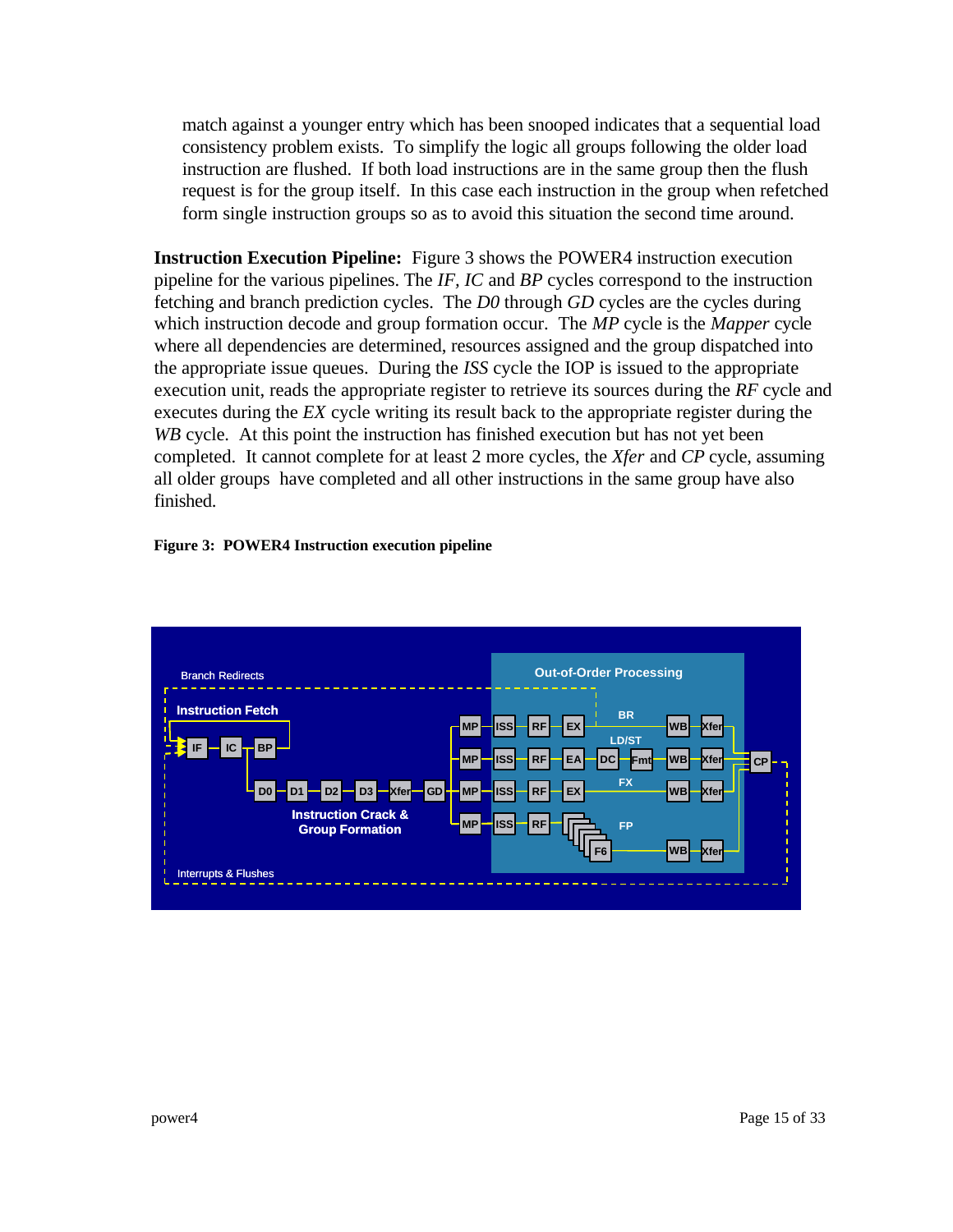match against a younger entry which has been snooped indicates that a sequential load consistency problem exists. To simplify the logic all groups following the older load instruction are flushed. If both load instructions are in the same group then the flush request is for the group itself. In this case each instruction in the group when refetched form single instruction groups so as to avoid this situation the second time around.

**Instruction Execution Pipeline:** Figure 3 shows the POWER4 instruction execution pipeline for the various pipelines. The *IF, IC* and *BP* cycles correspond to the instruction fetching and branch prediction cycles. The *D0* through *GD* cycles are the cycles during which instruction decode and group formation occur. The *MP* cycle is the *Mapper* cycle where all dependencies are determined, resources assigned and the group dispatched into the appropriate issue queues. During the *ISS* cycle the IOP is issued to the appropriate execution unit, reads the appropriate register to retrieve its sources during the *RF* cycle and executes during the *EX* cycle writing its result back to the appropriate register during the *WB* cycle. At this point the instruction has finished execution but has not yet been completed. It cannot complete for at least 2 more cycles, the *Xfer* and *CP* cycle, assuming all older groups have completed and all other instructions in the same group have also finished.

#### **Figure 3: POWER4 Instruction execution pipeline**

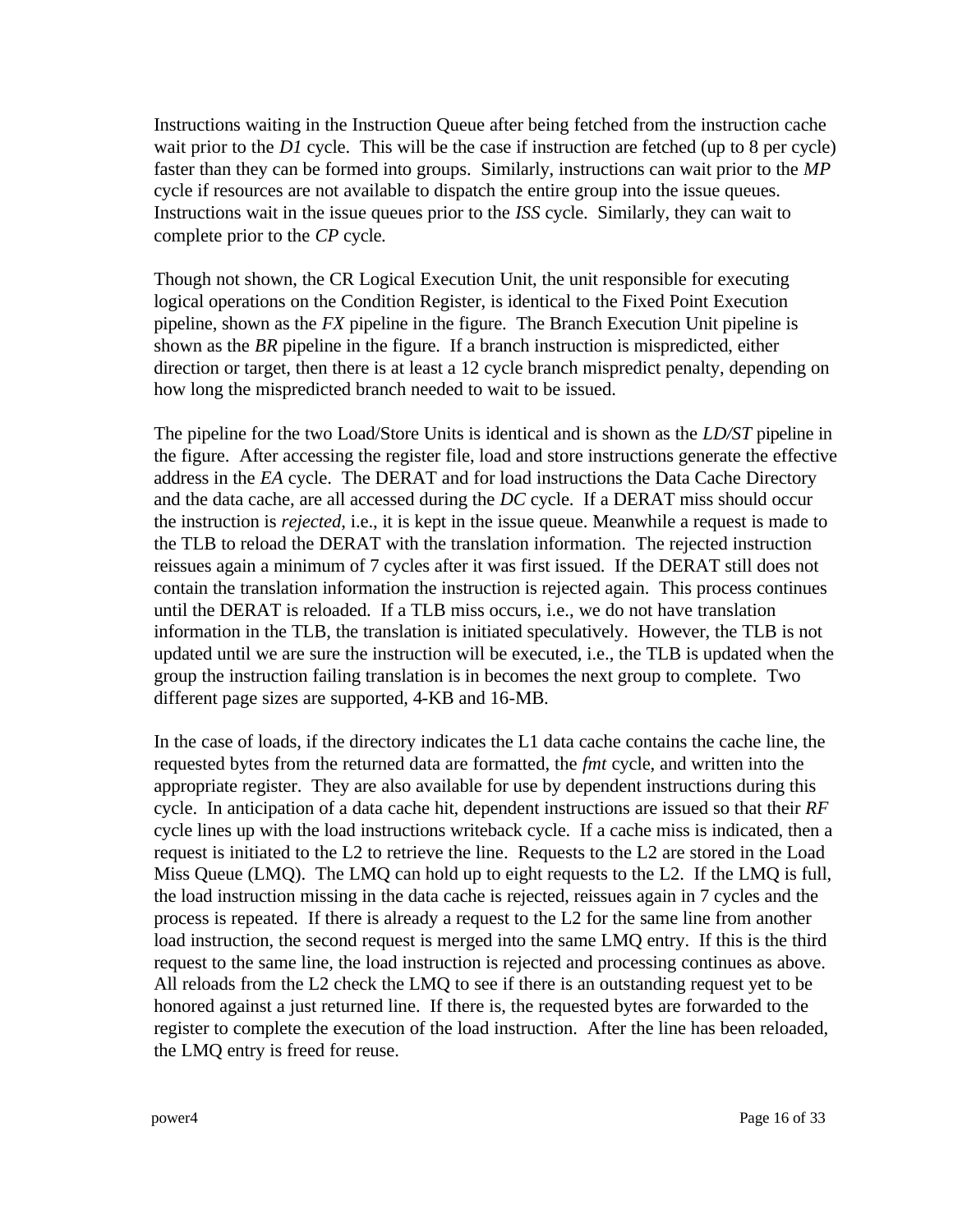Instructions waiting in the Instruction Queue after being fetched from the instruction cache wait prior to the *D1* cycle. This will be the case if instruction are fetched (up to 8 per cycle) faster than they can be formed into groups. Similarly, instructions can wait prior to the *MP* cycle if resources are not available to dispatch the entire group into the issue queues. Instructions wait in the issue queues prior to the *ISS* cycle. Similarly, they can wait to complete prior to the *CP* cycle.

Though not shown, the CR Logical Execution Unit, the unit responsible for executing logical operations on the Condition Register, is identical to the Fixed Point Execution pipeline, shown as the *FX* pipeline in the figure. The Branch Execution Unit pipeline is shown as the *BR* pipeline in the figure. If a branch instruction is mispredicted, either direction or target, then there is at least a 12 cycle branch mispredict penalty, depending on how long the mispredicted branch needed to wait to be issued.

The pipeline for the two Load/Store Units is identical and is shown as the *LD/ST* pipeline in the figure. After accessing the register file, load and store instructions generate the effective address in the *EA* cycle. The DERAT and for load instructions the Data Cache Directory and the data cache, are all accessed during the *DC* cycle. If a DERAT miss should occur the instruction is *rejected*, i.e., it is kept in the issue queue. Meanwhile a request is made to the TLB to reload the DERAT with the translation information. The rejected instruction reissues again a minimum of 7 cycles after it was first issued. If the DERAT still does not contain the translation information the instruction is rejected again. This process continues until the DERAT is reloaded. If a TLB miss occurs, i.e., we do not have translation information in the TLB, the translation is initiated speculatively. However, the TLB is not updated until we are sure the instruction will be executed, i.e., the TLB is updated when the group the instruction failing translation is in becomes the next group to complete. Two different page sizes are supported, 4-KB and 16-MB.

In the case of loads, if the directory indicates the L1 data cache contains the cache line, the requested bytes from the returned data are formatted, the *fmt* cycle, and written into the appropriate register. They are also available for use by dependent instructions during this cycle. In anticipation of a data cache hit, dependent instructions are issued so that their *RF* cycle lines up with the load instructions writeback cycle. If a cache miss is indicated, then a request is initiated to the L2 to retrieve the line. Requests to the L2 are stored in the Load Miss Queue (LMQ). The LMQ can hold up to eight requests to the L2. If the LMQ is full, the load instruction missing in the data cache is rejected, reissues again in 7 cycles and the process is repeated. If there is already a request to the L2 for the same line from another load instruction, the second request is merged into the same LMQ entry. If this is the third request to the same line, the load instruction is rejected and processing continues as above. All reloads from the L2 check the LMQ to see if there is an outstanding request yet to be honored against a just returned line. If there is, the requested bytes are forwarded to the register to complete the execution of the load instruction. After the line has been reloaded, the LMQ entry is freed for reuse.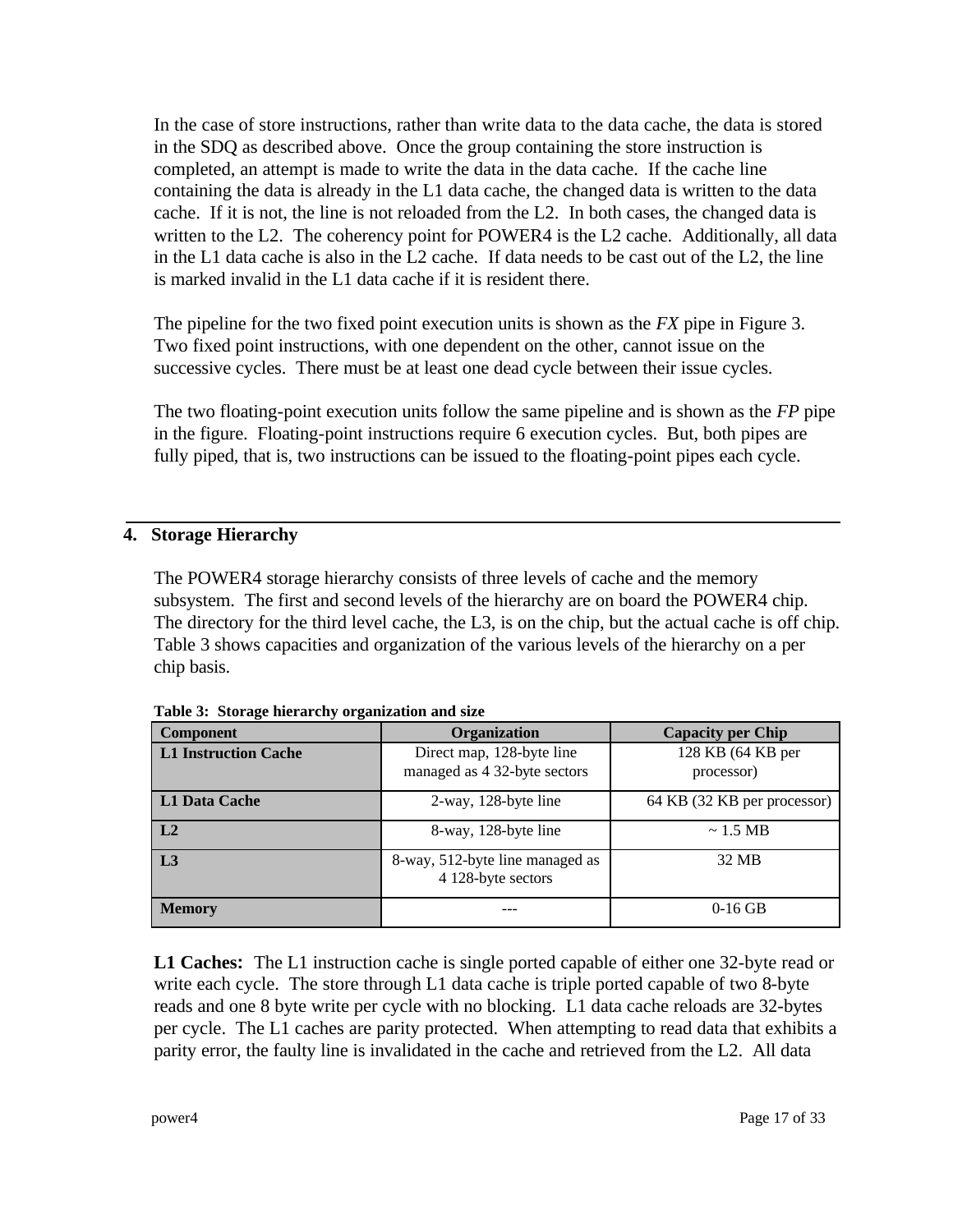In the case of store instructions, rather than write data to the data cache, the data is stored in the SDQ as described above. Once the group containing the store instruction is completed, an attempt is made to write the data in the data cache. If the cache line containing the data is already in the L1 data cache, the changed data is written to the data cache. If it is not, the line is not reloaded from the L2. In both cases, the changed data is written to the L2. The coherency point for POWER4 is the L2 cache. Additionally, all data in the L1 data cache is also in the L2 cache. If data needs to be cast out of the L2, the line is marked invalid in the L1 data cache if it is resident there.

The pipeline for the two fixed point execution units is shown as the *FX* pipe in Figure 3. Two fixed point instructions, with one dependent on the other, cannot issue on the successive cycles. There must be at least one dead cycle between their issue cycles.

The two floating-point execution units follow the same pipeline and is shown as the *FP* pipe in the figure. Floating-point instructions require 6 execution cycles. But, both pipes are fully piped, that is, two instructions can be issued to the floating-point pipes each cycle.

# **4. Storage Hierarchy**

The POWER4 storage hierarchy consists of three levels of cache and the memory subsystem. The first and second levels of the hierarchy are on board the POWER4 chip. The directory for the third level cache, the L3, is on the chip, but the actual cache is off chip. Table 3 shows capacities and organization of the various levels of the hierarchy on a per chip basis.

| <b>Component</b>            | <b>Organization</b>                                       | <b>Capacity per Chip</b>        |  |
|-----------------------------|-----------------------------------------------------------|---------------------------------|--|
| <b>L1 Instruction Cache</b> | Direct map, 128-byte line<br>managed as 4 32-byte sectors | 128 KB (64 KB per<br>processor) |  |
| L1 Data Cache               | 2-way, 128-byte line                                      | 64 KB (32 KB per processor)     |  |
| L2                          | 8-way, 128-byte line                                      | $\sim$ 1.5 MB                   |  |
| L3                          | 8-way, 512-byte line managed as<br>4 128-byte sectors     | 32 MB                           |  |
| <b>Memory</b>               |                                                           | $0-16$ GB                       |  |

**Table 3: Storage hierarchy organization and size**

**L1 Caches:** The L1 instruction cache is single ported capable of either one 32-byte read or write each cycle. The store through L1 data cache is triple ported capable of two 8-byte reads and one 8 byte write per cycle with no blocking. L1 data cache reloads are 32-bytes per cycle. The L1 caches are parity protected. When attempting to read data that exhibits a parity error, the faulty line is invalidated in the cache and retrieved from the L2. All data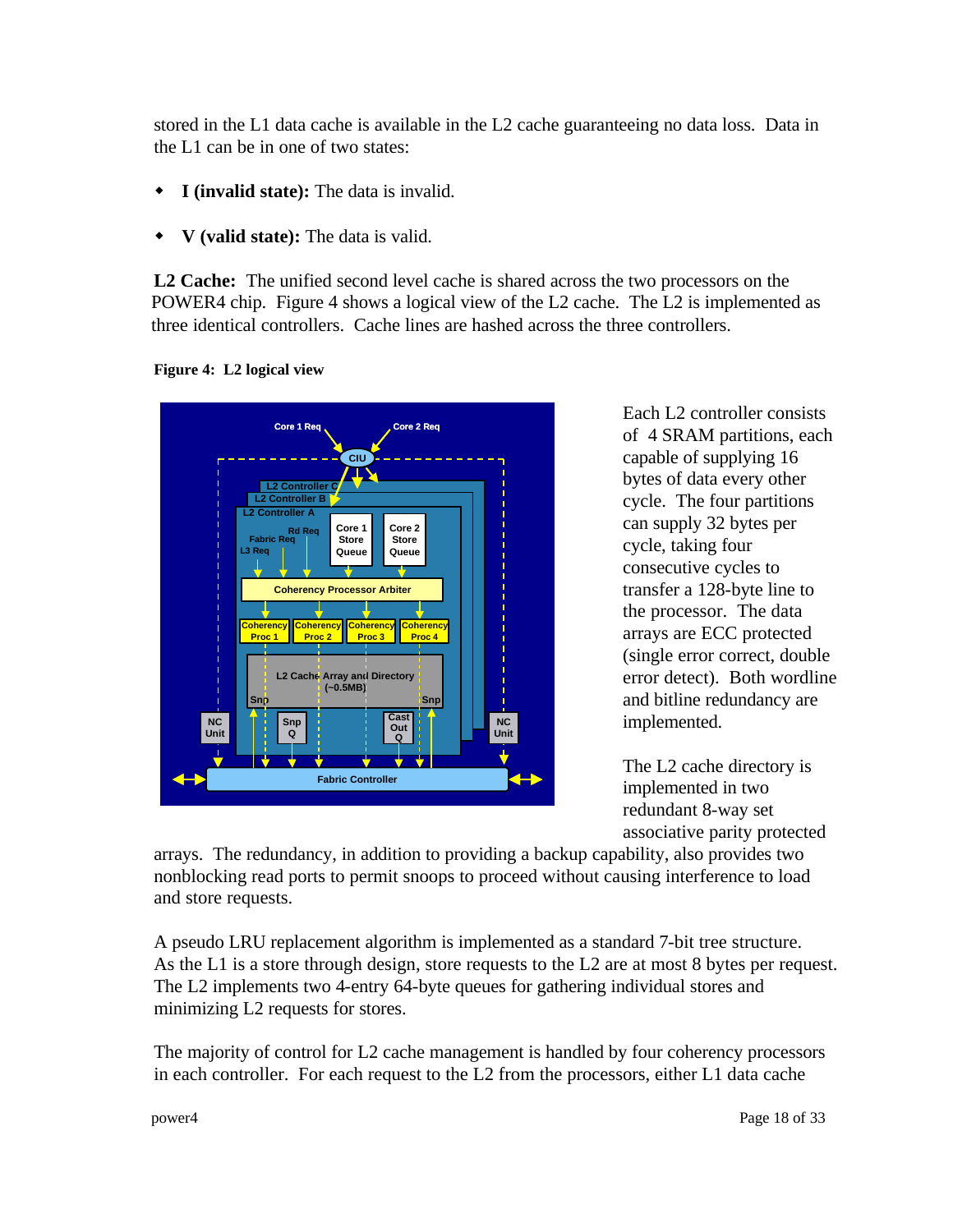stored in the L1 data cache is available in the L2 cache guaranteeing no data loss. Data in the L1 can be in one of two states:

- w **I (invalid state):** The data is invalid.
- w **V (valid state):** The data is valid.

**L2 Cache:** The unified second level cache is shared across the two processors on the POWER4 chip. Figure 4 shows a logical view of the L2 cache. The L2 is implemented as three identical controllers. Cache lines are hashed across the three controllers.





Each L2 controller consists of 4 SRAM partitions, each capable of supplying 16 bytes of data every other cycle. The four partitions can supply 32 bytes per cycle, taking four consecutive cycles to transfer a 128-byte line to the processor. The data arrays are ECC protected (single error correct, double error detect). Both wordline and bitline redundancy are implemented.

The L2 cache directory is implemented in two redundant 8-way set associative parity protected

arrays. The redundancy, in addition to providing a backup capability, also provides two nonblocking read ports to permit snoops to proceed without causing interference to load and store requests.

A pseudo LRU replacement algorithm is implemented as a standard 7-bit tree structure. As the L1 is a store through design, store requests to the L2 are at most 8 bytes per request. The L2 implements two 4-entry 64-byte queues for gathering individual stores and minimizing L2 requests for stores.

The majority of control for L2 cache management is handled by four coherency processors in each controller. For each request to the L2 from the processors, either L1 data cache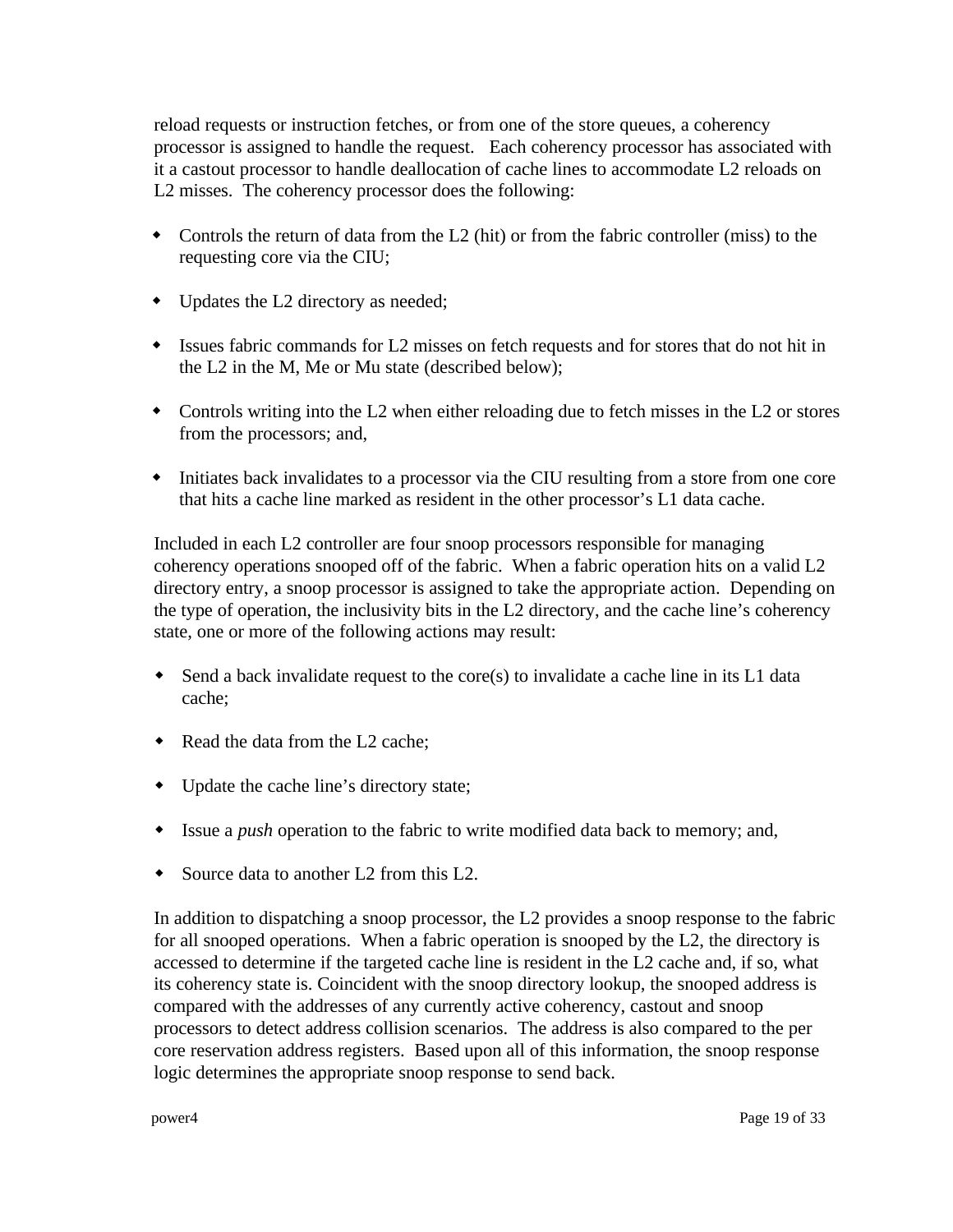reload requests or instruction fetches, or from one of the store queues, a coherency processor is assigned to handle the request. Each coherency processor has associated with it a castout processor to handle deallocation of cache lines to accommodate L2 reloads on L2 misses. The coherency processor does the following:

- Controls the return of data from the L2 (hit) or from the fabric controller (miss) to the requesting core via the CIU;
- $\bullet$  Updates the L2 directory as needed;
- w Issues fabric commands for L2 misses on fetch requests and for stores that do not hit in the L2 in the M, Me or Mu state (described below);
- Controls writing into the L2 when either reloading due to fetch misses in the L2 or stores from the processors; and,
- w Initiates back invalidates to a processor via the CIU resulting from a store from one core that hits a cache line marked as resident in the other processor's L1 data cache.

Included in each L2 controller are four snoop processors responsible for managing coherency operations snooped off of the fabric. When a fabric operation hits on a valid L2 directory entry, a snoop processor is assigned to take the appropriate action. Depending on the type of operation, the inclusivity bits in the L2 directory, and the cache line's coherency state, one or more of the following actions may result:

- $\bullet$  Send a back invalidate request to the core(s) to invalidate a cache line in its L1 data cache;
- $\bullet$  Read the data from the L2 cache;
- Update the cache line's directory state;
- w Issue a *push* operation to the fabric to write modified data back to memory; and,
- Source data to another L2 from this L2.

In addition to dispatching a snoop processor, the L2 provides a snoop response to the fabric for all snooped operations. When a fabric operation is snooped by the L2, the directory is accessed to determine if the targeted cache line is resident in the L2 cache and, if so, what its coherency state is. Coincident with the snoop directory lookup, the snooped address is compared with the addresses of any currently active coherency, castout and snoop processors to detect address collision scenarios. The address is also compared to the per core reservation address registers. Based upon all of this information, the snoop response logic determines the appropriate snoop response to send back.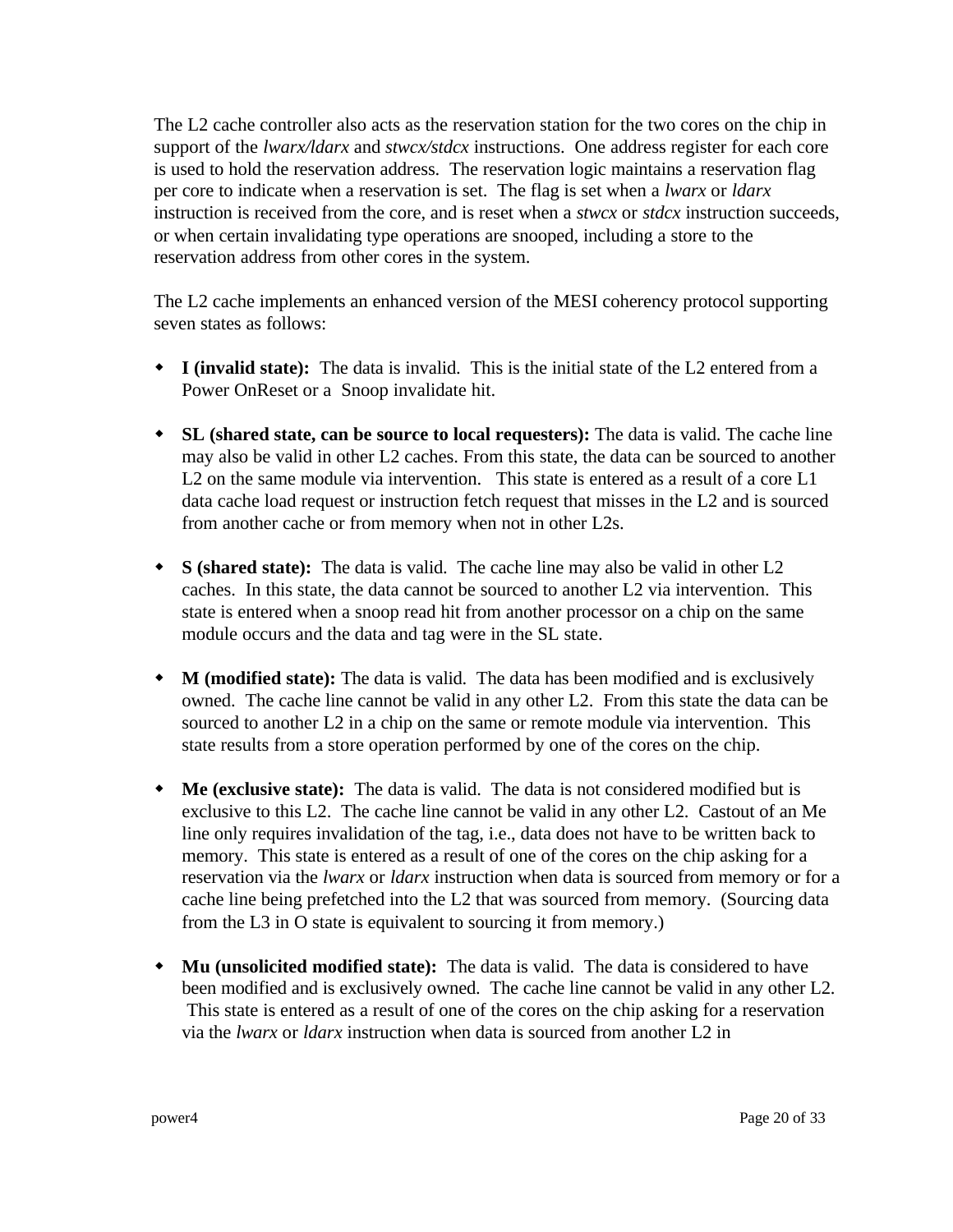The L2 cache controller also acts as the reservation station for the two cores on the chip in support of the *lwarx/ldarx* and *stwcx/stdcx* instructions. One address register for each core is used to hold the reservation address. The reservation logic maintains a reservation flag per core to indicate when a reservation is set. The flag is set when a *lwarx* or *ldarx* instruction is received from the core, and is reset when a *stwcx* or *stdcx* instruction succeeds, or when certain invalidating type operations are snooped, including a store to the reservation address from other cores in the system.

The L2 cache implements an enhanced version of the MESI coherency protocol supporting seven states as follows:

- w **I (invalid state):** The data is invalid. This is the initial state of the L2 entered from a Power OnReset or a Snoop invalidate hit.
- w **SL (shared state, can be source to local requesters):** The data is valid. The cache line may also be valid in other L2 caches. From this state, the data can be sourced to another L2 on the same module via intervention. This state is entered as a result of a core L1 data cache load request or instruction fetch request that misses in the L2 and is sourced from another cache or from memory when not in other L2s.
- **S** (shared state): The data is valid. The cache line may also be valid in other L2 caches. In this state, the data cannot be sourced to another L2 via intervention. This state is entered when a snoop read hit from another processor on a chip on the same module occurs and the data and tag were in the SL state.
- **M** (modified state): The data is valid. The data has been modified and is exclusively owned. The cache line cannot be valid in any other L2. From this state the data can be sourced to another L2 in a chip on the same or remote module via intervention. This state results from a store operation performed by one of the cores on the chip.
- Me (exclusive state): The data is valid. The data is not considered modified but is exclusive to this L2. The cache line cannot be valid in any other L2. Castout of an Me line only requires invalidation of the tag, i.e., data does not have to be written back to memory. This state is entered as a result of one of the cores on the chip asking for a reservation via the *lwarx* or *ldarx* instruction when data is sourced from memory or for a cache line being prefetched into the L2 that was sourced from memory. (Sourcing data from the L3 in O state is equivalent to sourcing it from memory.)
- Mu (unsolicited modified state): The data is valid. The data is considered to have been modified and is exclusively owned. The cache line cannot be valid in any other L2. This state is entered as a result of one of the cores on the chip asking for a reservation via the *lwarx* or *ldarx* instruction when data is sourced from another L2 in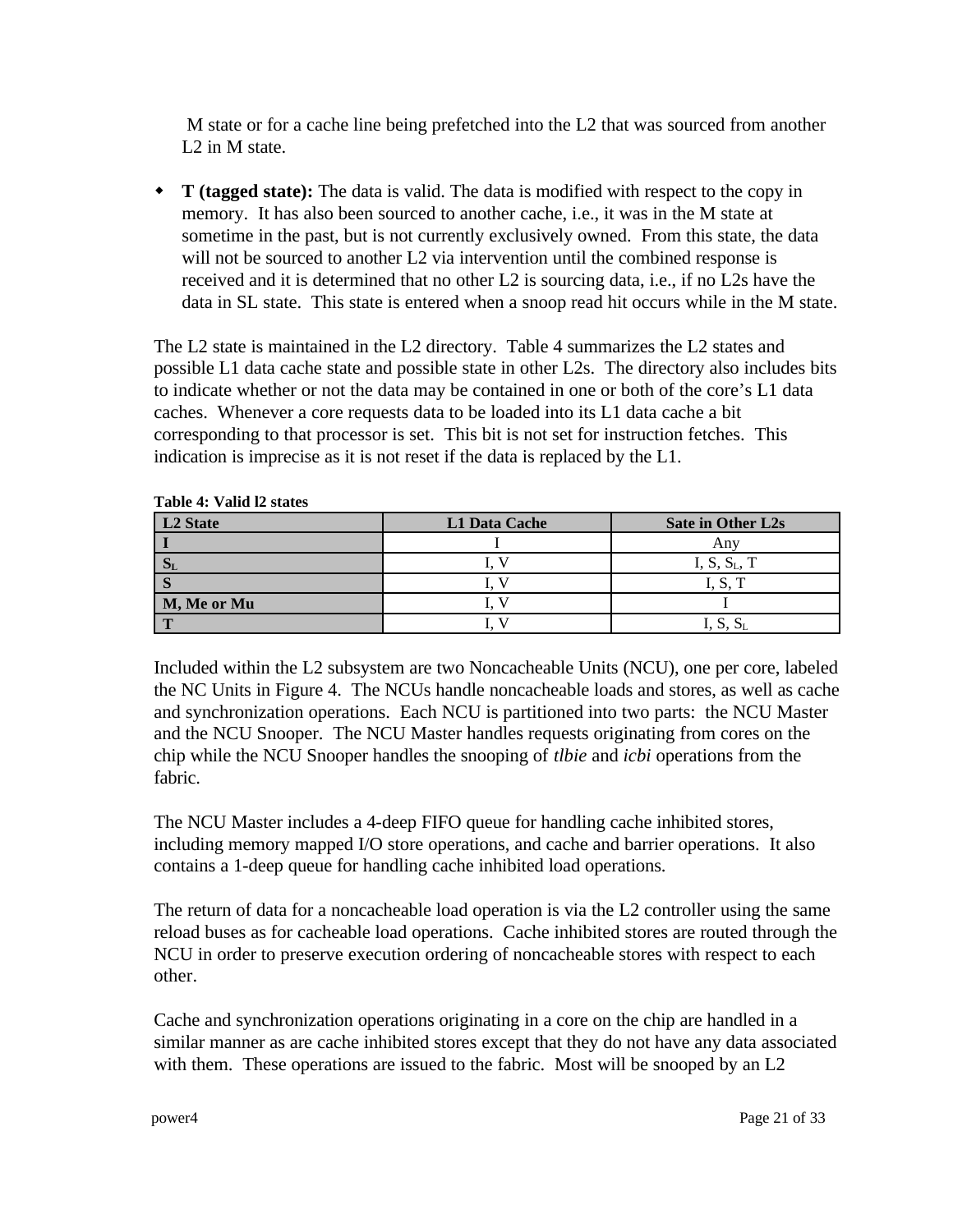M state or for a cache line being prefetched into the L2 that was sourced from another L2 in M state.

**T (tagged state):** The data is valid. The data is modified with respect to the copy in memory. It has also been sourced to another cache, i.e., it was in the M state at sometime in the past, but is not currently exclusively owned. From this state, the data will not be sourced to another L2 via intervention until the combined response is received and it is determined that no other L2 is sourcing data, i.e., if no L2s have the data in SL state. This state is entered when a snoop read hit occurs while in the M state.

The L2 state is maintained in the L2 directory. Table 4 summarizes the L2 states and possible L1 data cache state and possible state in other L2s. The directory also includes bits to indicate whether or not the data may be contained in one or both of the core's L1 data caches. Whenever a core requests data to be loaded into its L1 data cache a bit corresponding to that processor is set. This bit is not set for instruction fetches. This indication is imprecise as it is not reset if the data is replaced by the L1.

| L <sub>2</sub> State | <b>L1 Data Cache</b> | Sate in Other L2s |  |  |  |
|----------------------|----------------------|-------------------|--|--|--|
|                      |                      | Anv               |  |  |  |
| $\mathbf{D}$         |                      | I, $S, S_L, T$    |  |  |  |
| n.                   |                      | I, S, T           |  |  |  |
| M, Me or Mu          |                      |                   |  |  |  |
|                      |                      | I, S, $S_{L}$     |  |  |  |

**Table 4: Valid l2 states**

Included within the L2 subsystem are two Noncacheable Units (NCU), one per core, labeled the NC Units in Figure 4. The NCUs handle noncacheable loads and stores, as well as cache and synchronization operations. Each NCU is partitioned into two parts: the NCU Master and the NCU Snooper. The NCU Master handles requests originating from cores on the chip while the NCU Snooper handles the snooping of *tlbie* and *icbi* operations from the fabric.

The NCU Master includes a 4-deep FIFO queue for handling cache inhibited stores, including memory mapped I/O store operations, and cache and barrier operations. It also contains a 1-deep queue for handling cache inhibited load operations.

The return of data for a noncacheable load operation is via the L2 controller using the same reload buses as for cacheable load operations. Cache inhibited stores are routed through the NCU in order to preserve execution ordering of noncacheable stores with respect to each other.

Cache and synchronization operations originating in a core on the chip are handled in a similar manner as are cache inhibited stores except that they do not have any data associated with them. These operations are issued to the fabric. Most will be snooped by an L2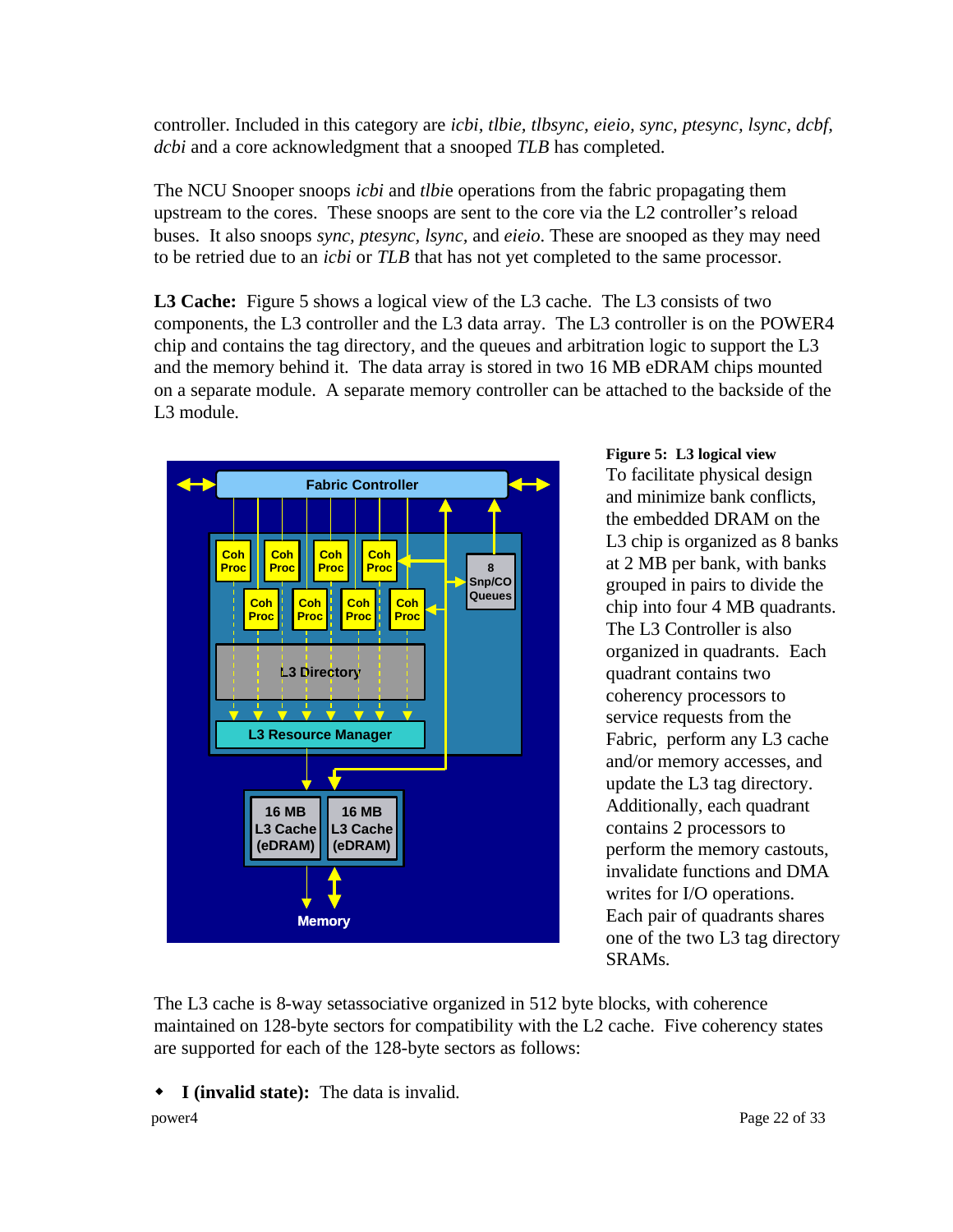controller. Included in this category are *icbi, tlbie, tlbsync, eieio, sync, ptesync, lsync, dcbf, dcbi* and a core acknowledgment that a snooped *TLB* has completed.

The NCU Snooper snoops *icbi* and *tlbi*e operations from the fabric propagating them upstream to the cores. These snoops are sent to the core via the L2 controller's reload buses. It also snoops *sync, ptesync, lsync,* and *eieio*. These are snooped as they may need to be retried due to an *icbi* or *TLB* that has not yet completed to the same processor.

L3 Cache: Figure 5 shows a logical view of the L3 cache. The L3 consists of two components, the L3 controller and the L3 data array. The L3 controller is on the POWER4 chip and contains the tag directory, and the queues and arbitration logic to support the L3 and the memory behind it. The data array is stored in two 16 MB eDRAM chips mounted on a separate module. A separate memory controller can be attached to the backside of the L3 module.



**Figure 5: L3 logical view** To facilitate physical design and minimize bank conflicts, the embedded DRAM on the L3 chip is organized as 8 banks at 2 MB per bank, with banks grouped in pairs to divide the chip into four 4 MB quadrants. The L3 Controller is also organized in quadrants. Each quadrant contains two coherency processors to service requests from the Fabric, perform any L3 cache and/or memory accesses, and update the L3 tag directory. Additionally, each quadrant contains 2 processors to perform the memory castouts, invalidate functions and DMA writes for I/O operations. Each pair of quadrants shares one of the two L3 tag directory SRAMs.

The L3 cache is 8-way setassociative organized in 512 byte blocks, with coherence maintained on 128-byte sectors for compatibility with the L2 cache. Five coherency states are supported for each of the 128-byte sectors as follows:

w **I (invalid state):** The data is invalid.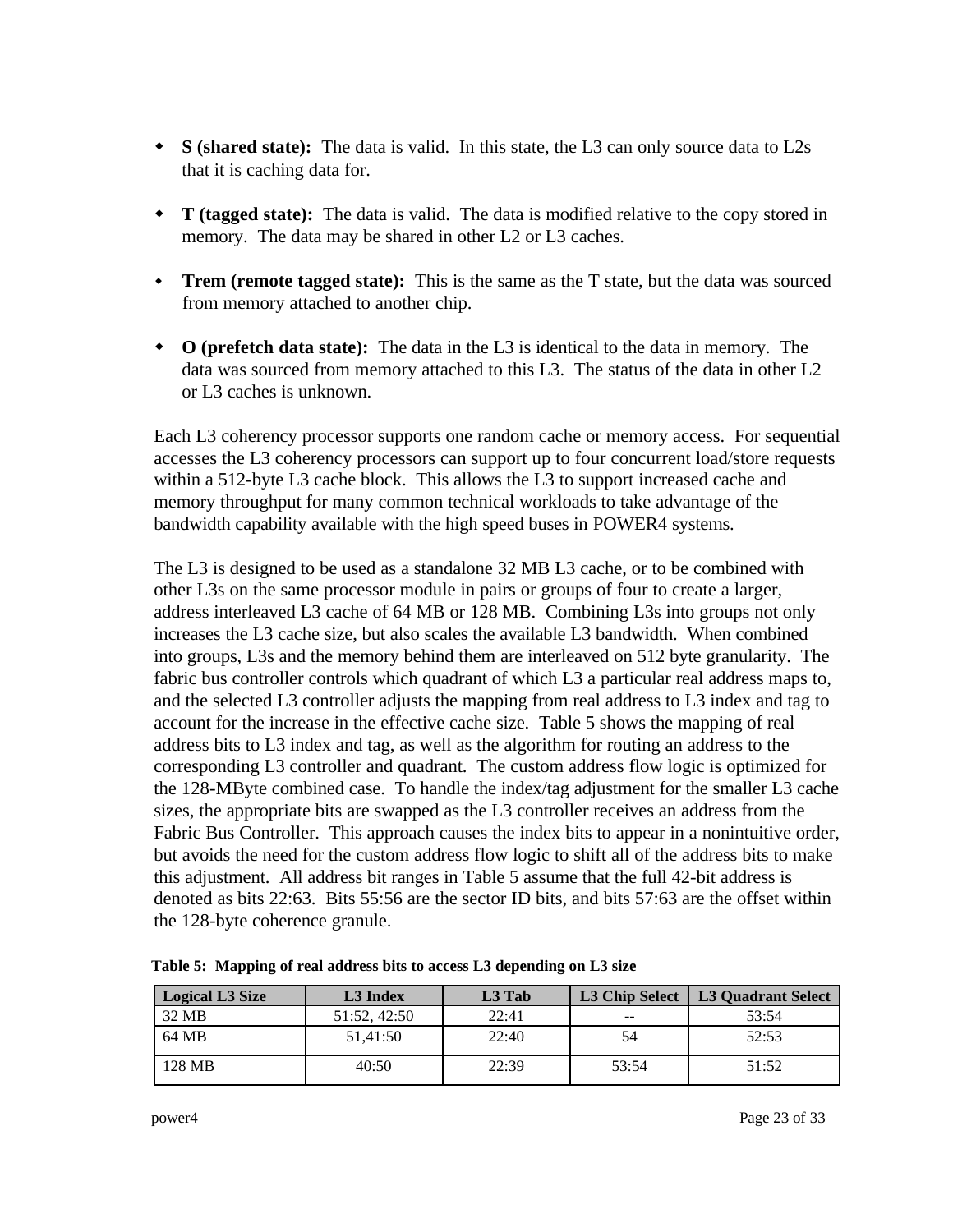- w **S (shared state):** The data is valid. In this state, the L3 can only source data to L2s that it is caching data for.
- w **T (tagged state):** The data is valid. The data is modified relative to the copy stored in memory. The data may be shared in other L2 or L3 caches.
- w **Trem (remote tagged state):** This is the same as the T state, but the data was sourced from memory attached to another chip.
- **O** (prefetch data state): The data in the L3 is identical to the data in memory. The data was sourced from memory attached to this L3. The status of the data in other L2 or L3 caches is unknown.

Each L3 coherency processor supports one random cache or memory access. For sequential accesses the L3 coherency processors can support up to four concurrent load/store requests within a 512-byte L3 cache block. This allows the L3 to support increased cache and memory throughput for many common technical workloads to take advantage of the bandwidth capability available with the high speed buses in POWER4 systems.

The L3 is designed to be used as a standalone 32 MB L3 cache, or to be combined with other L3s on the same processor module in pairs or groups of four to create a larger, address interleaved L3 cache of 64 MB or 128 MB. Combining L3s into groups not only increases the L3 cache size, but also scales the available L3 bandwidth. When combined into groups, L3s and the memory behind them are interleaved on 512 byte granularity. The fabric bus controller controls which quadrant of which L3 a particular real address maps to, and the selected L3 controller adjusts the mapping from real address to L3 index and tag to account for the increase in the effective cache size. Table 5 shows the mapping of real address bits to L3 index and tag, as well as the algorithm for routing an address to the corresponding L3 controller and quadrant. The custom address flow logic is optimized for the 128-MByte combined case. To handle the index/tag adjustment for the smaller L3 cache sizes, the appropriate bits are swapped as the L3 controller receives an address from the Fabric Bus Controller. This approach causes the index bits to appear in a nonintuitive order, but avoids the need for the custom address flow logic to shift all of the address bits to make this adjustment. All address bit ranges in Table 5 assume that the full 42-bit address is denoted as bits 22:63. Bits 55:56 are the sector ID bits, and bits 57:63 are the offset within the 128-byte coherence granule.

| <b>Logical L3 Size</b> | L3 Index     | $L3$ Tab |       | L3 Chip Select   L3 Quadrant Select |
|------------------------|--------------|----------|-------|-------------------------------------|
| 32 MB                  | 51:52, 42:50 | 22:41    | $- -$ | 53:54                               |
| 64 MB                  | 51.41:50     | 22:40    | 54    | 52:53                               |
| 128 MB                 | 40:50        | 22:39    | 53:54 | 51:52                               |

**Table 5: Mapping of real address bits to access L3 depending on L3 size**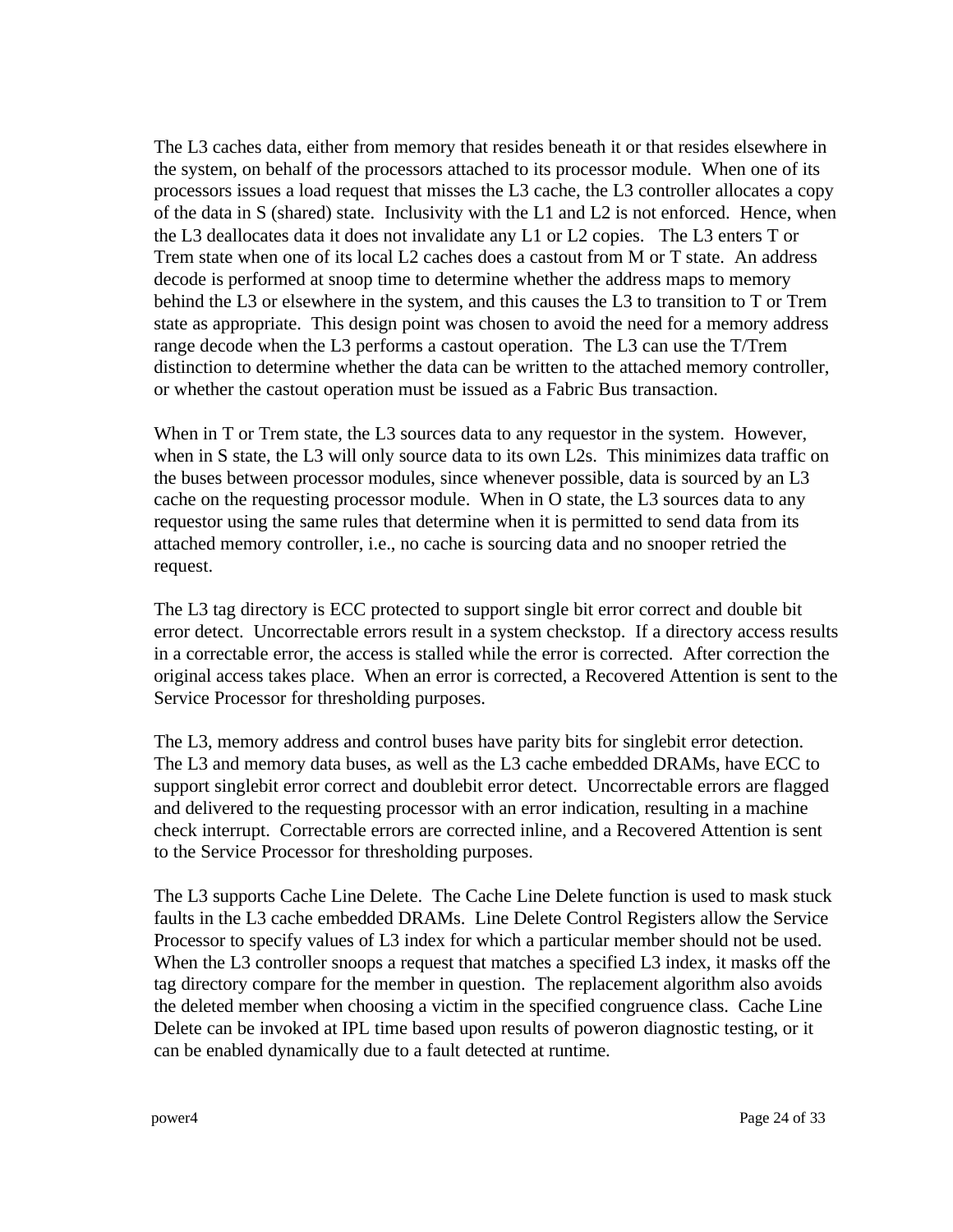The L3 caches data, either from memory that resides beneath it or that resides elsewhere in the system, on behalf of the processors attached to its processor module. When one of its processors issues a load request that misses the L3 cache, the L3 controller allocates a copy of the data in S (shared) state. Inclusivity with the L1 and L2 is not enforced. Hence, when the L3 deallocates data it does not invalidate any L1 or L2 copies. The L3 enters T or Trem state when one of its local L2 caches does a castout from M or T state. An address decode is performed at snoop time to determine whether the address maps to memory behind the L3 or elsewhere in the system, and this causes the L3 to transition to T or Trem state as appropriate. This design point was chosen to avoid the need for a memory address range decode when the L3 performs a castout operation. The L3 can use the T/Trem distinction to determine whether the data can be written to the attached memory controller, or whether the castout operation must be issued as a Fabric Bus transaction.

When in T or Trem state, the L3 sources data to any requestor in the system. However, when in S state, the L3 will only source data to its own L2s. This minimizes data traffic on the buses between processor modules, since whenever possible, data is sourced by an L3 cache on the requesting processor module. When in O state, the L3 sources data to any requestor using the same rules that determine when it is permitted to send data from its attached memory controller, i.e., no cache is sourcing data and no snooper retried the request.

The L3 tag directory is ECC protected to support single bit error correct and double bit error detect. Uncorrectable errors result in a system checkstop. If a directory access results in a correctable error, the access is stalled while the error is corrected. After correction the original access takes place. When an error is corrected, a Recovered Attention is sent to the Service Processor for thresholding purposes.

The L3, memory address and control buses have parity bits for singlebit error detection. The L3 and memory data buses, as well as the L3 cache embedded DRAMs, have ECC to support singlebit error correct and doublebit error detect. Uncorrectable errors are flagged and delivered to the requesting processor with an error indication, resulting in a machine check interrupt. Correctable errors are corrected inline, and a Recovered Attention is sent to the Service Processor for thresholding purposes.

The L3 supports Cache Line Delete. The Cache Line Delete function is used to mask stuck faults in the L3 cache embedded DRAMs. Line Delete Control Registers allow the Service Processor to specify values of L3 index for which a particular member should not be used. When the L3 controller snoops a request that matches a specified L3 index, it masks off the tag directory compare for the member in question. The replacement algorithm also avoids the deleted member when choosing a victim in the specified congruence class. Cache Line Delete can be invoked at IPL time based upon results of poweron diagnostic testing, or it can be enabled dynamically due to a fault detected at runtime.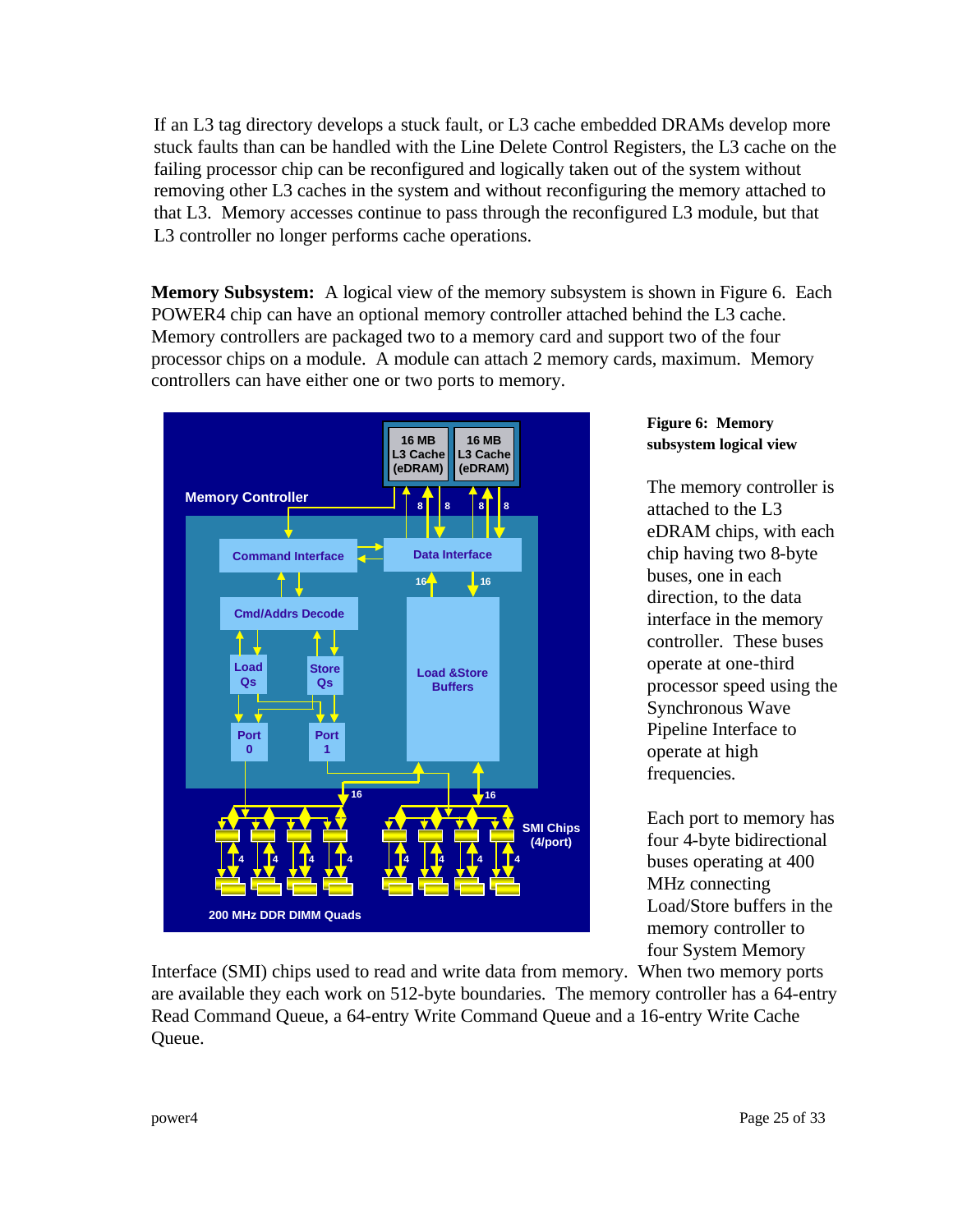If an L3 tag directory develops a stuck fault, or L3 cache embedded DRAMs develop more stuck faults than can be handled with the Line Delete Control Registers, the L3 cache on the failing processor chip can be reconfigured and logically taken out of the system without removing other L3 caches in the system and without reconfiguring the memory attached to that L3. Memory accesses continue to pass through the reconfigured L3 module, but that L3 controller no longer performs cache operations.

**Memory Subsystem:** A logical view of the memory subsystem is shown in Figure 6. Each POWER4 chip can have an optional memory controller attached behind the L3 cache. Memory controllers are packaged two to a memory card and support two of the four processor chips on a module. A module can attach 2 memory cards, maximum. Memory controllers can have either one or two ports to memory.



#### **Figure 6: Memory subsystem logical view**

The memory controller is attached to the L3 eDRAM chips, with each chip having two 8-byte buses, one in each direction, to the data interface in the memory controller. These buses operate at one-third processor speed using the Synchronous Wave Pipeline Interface to operate at high frequencies.

Each port to memory has four 4-byte bidirectional buses operating at 400 MHz connecting Load/Store buffers in the memory controller to four System Memory

Interface (SMI) chips used to read and write data from memory. When two memory ports are available they each work on 512-byte boundaries. The memory controller has a 64-entry Read Command Queue, a 64-entry Write Command Queue and a 16-entry Write Cache Queue.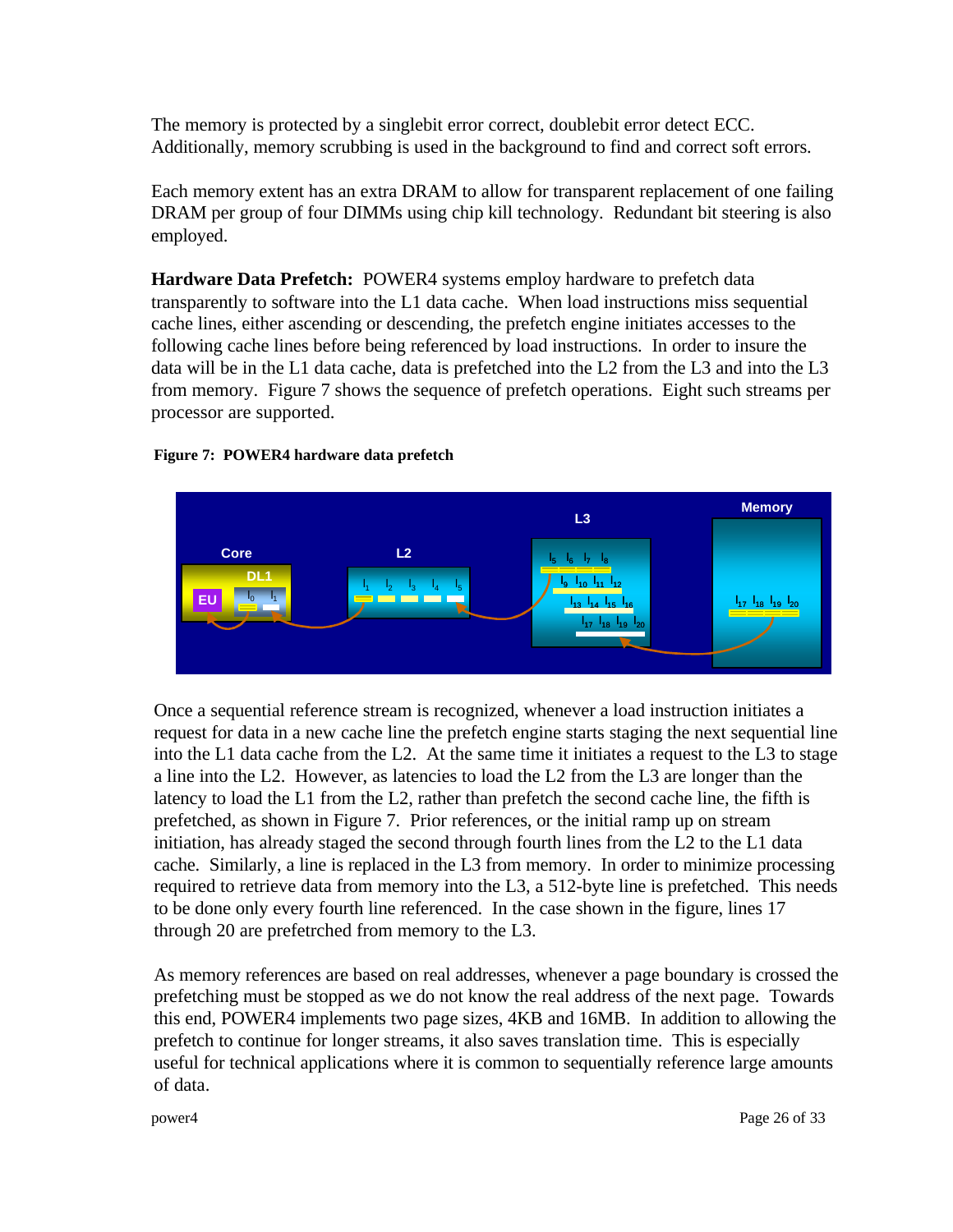The memory is protected by a singlebit error correct, doublebit error detect ECC. Additionally, memory scrubbing is used in the background to find and correct soft errors.

Each memory extent has an extra DRAM to allow for transparent replacement of one failing DRAM per group of four DIMMs using chip kill technology. Redundant bit steering is also employed.

**Hardware Data Prefetch:** POWER4 systems employ hardware to prefetch data transparently to software into the L1 data cache. When load instructions miss sequential cache lines, either ascending or descending, the prefetch engine initiates accesses to the following cache lines before being referenced by load instructions. In order to insure the data will be in the L1 data cache, data is prefetched into the L2 from the L3 and into the L3 from memory. Figure 7 shows the sequence of prefetch operations. Eight such streams per processor are supported.

#### **Figure 7: POWER4 hardware data prefetch**



Once a sequential reference stream is recognized, whenever a load instruction initiates a request for data in a new cache line the prefetch engine starts staging the next sequential line into the L1 data cache from the L2. At the same time it initiates a request to the L3 to stage a line into the L2. However, as latencies to load the L2 from the L3 are longer than the latency to load the L1 from the L2, rather than prefetch the second cache line, the fifth is prefetched, as shown in Figure 7. Prior references, or the initial ramp up on stream initiation, has already staged the second through fourth lines from the L2 to the L1 data cache. Similarly, a line is replaced in the L3 from memory. In order to minimize processing required to retrieve data from memory into the L3, a 512-byte line is prefetched. This needs to be done only every fourth line referenced. In the case shown in the figure, lines 17 through 20 are prefetrched from memory to the L3.

As memory references are based on real addresses, whenever a page boundary is crossed the prefetching must be stopped as we do not know the real address of the next page. Towards this end, POWER4 implements two page sizes, 4KB and 16MB. In addition to allowing the prefetch to continue for longer streams, it also saves translation time. This is especially useful for technical applications where it is common to sequentially reference large amounts of data.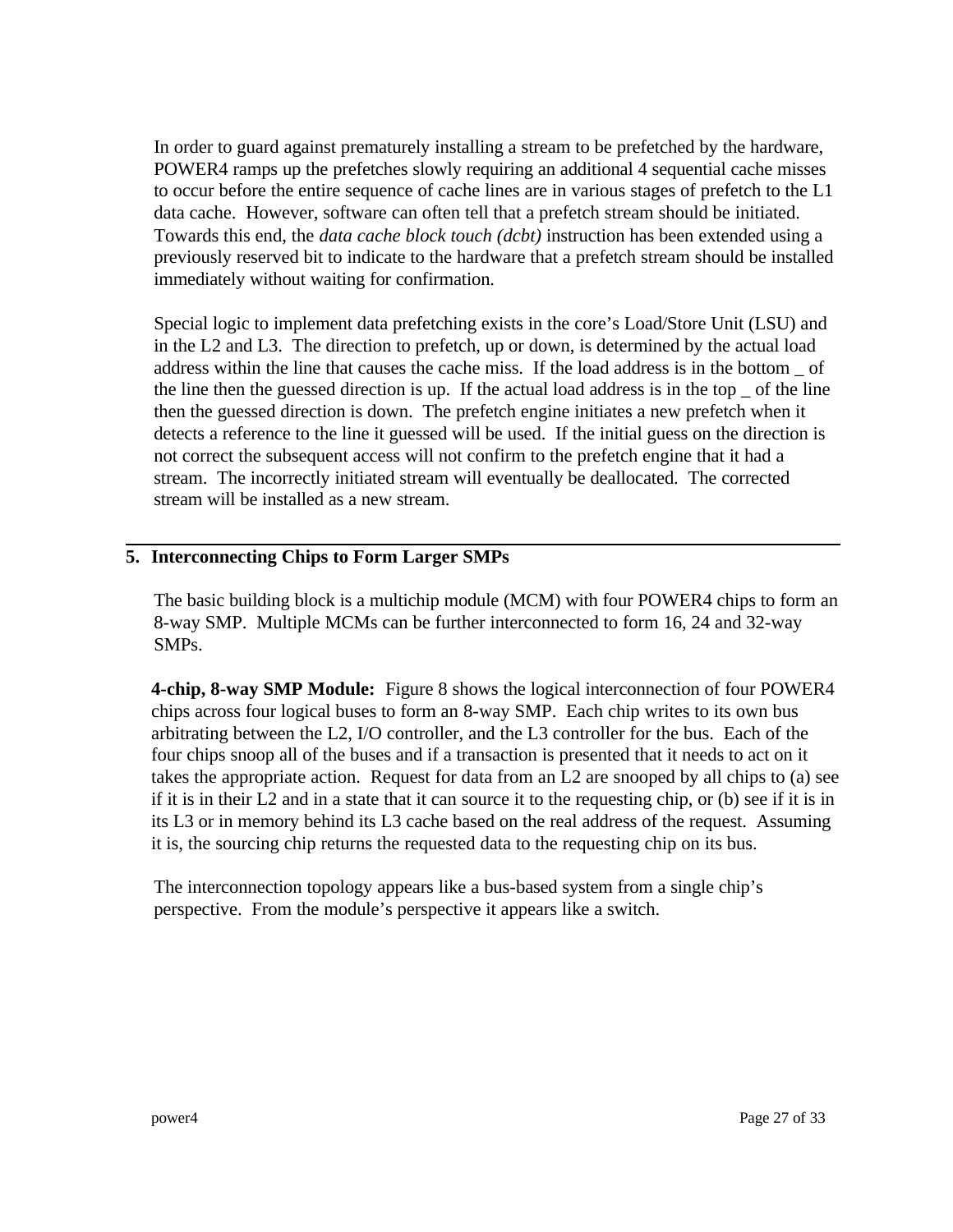In order to guard against prematurely installing a stream to be prefetched by the hardware, POWER4 ramps up the prefetches slowly requiring an additional 4 sequential cache misses to occur before the entire sequence of cache lines are in various stages of prefetch to the L1 data cache. However, software can often tell that a prefetch stream should be initiated. Towards this end, the *data cache block touch (dcbt)* instruction has been extended using a previously reserved bit to indicate to the hardware that a prefetch stream should be installed immediately without waiting for confirmation.

Special logic to implement data prefetching exists in the core's Load/Store Unit (LSU) and in the L2 and L3. The direction to prefetch, up or down, is determined by the actual load address within the line that causes the cache miss. If the load address is in the bottom \_ of the line then the guessed direction is up. If the actual load address is in the top \_ of the line then the guessed direction is down. The prefetch engine initiates a new prefetch when it detects a reference to the line it guessed will be used. If the initial guess on the direction is not correct the subsequent access will not confirm to the prefetch engine that it had a stream. The incorrectly initiated stream will eventually be deallocated. The corrected stream will be installed as a new stream.

# **5. Interconnecting Chips to Form Larger SMPs**

The basic building block is a multichip module (MCM) with four POWER4 chips to form an 8-way SMP. Multiple MCMs can be further interconnected to form 16, 24 and 32-way SMPs.

**4-chip, 8-way SMP Module:** Figure 8 shows the logical interconnection of four POWER4 chips across four logical buses to form an 8-way SMP. Each chip writes to its own bus arbitrating between the L2, I/O controller, and the L3 controller for the bus. Each of the four chips snoop all of the buses and if a transaction is presented that it needs to act on it takes the appropriate action. Request for data from an L2 are snooped by all chips to (a) see if it is in their L2 and in a state that it can source it to the requesting chip, or (b) see if it is in its L3 or in memory behind its L3 cache based on the real address of the request. Assuming it is, the sourcing chip returns the requested data to the requesting chip on its bus.

The interconnection topology appears like a bus-based system from a single chip's perspective. From the module's perspective it appears like a switch.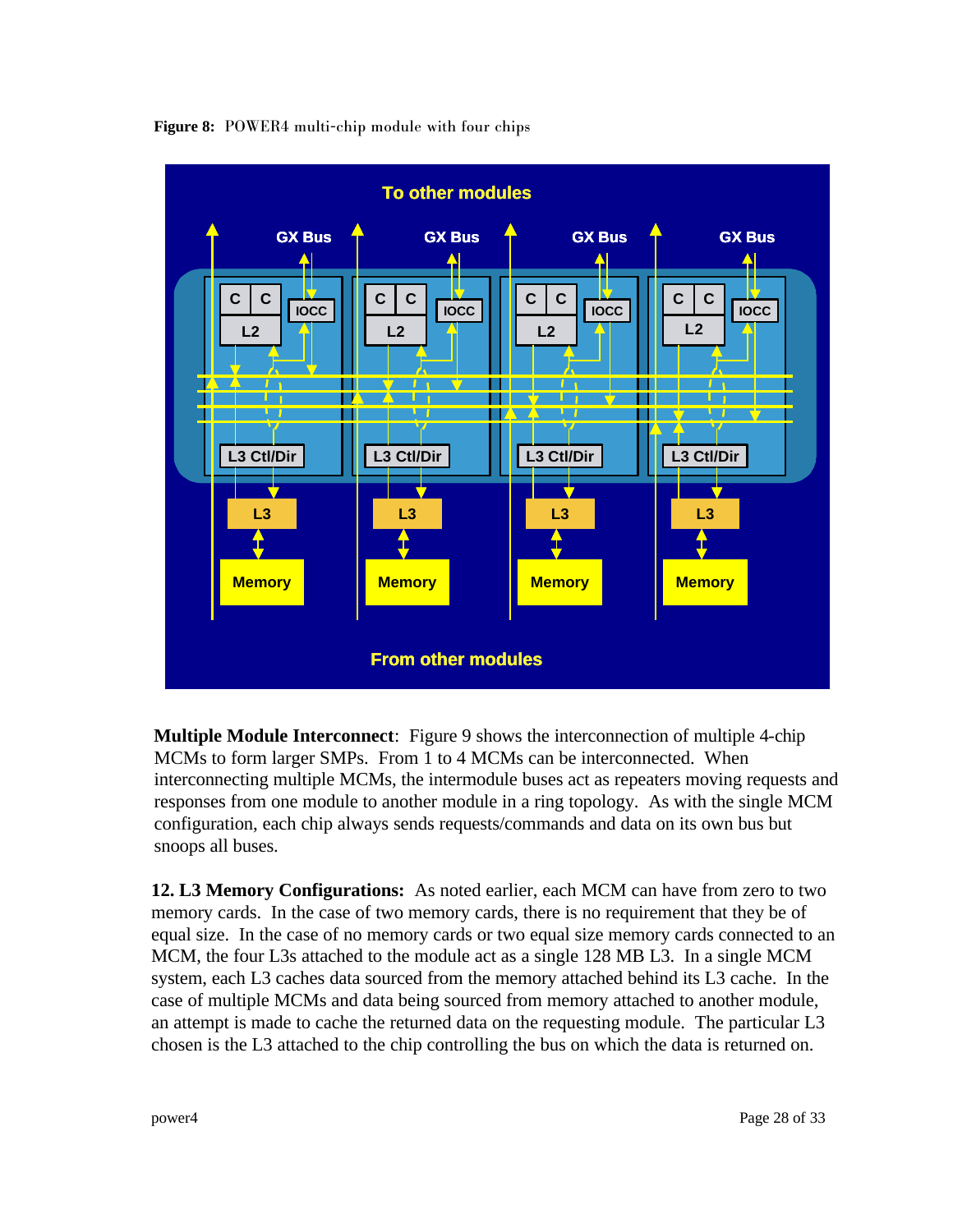

**Figure 8:** POWER4 multi-chip module with four chips

**Multiple Module Interconnect**: Figure 9 shows the interconnection of multiple 4-chip MCMs to form larger SMPs. From 1 to 4 MCMs can be interconnected. When interconnecting multiple MCMs, the intermodule buses act as repeaters moving requests and responses from one module to another module in a ring topology. As with the single MCM configuration, each chip always sends requests/commands and data on its own bus but snoops all buses.

**12. L3 Memory Configurations:** As noted earlier, each MCM can have from zero to two memory cards. In the case of two memory cards, there is no requirement that they be of equal size. In the case of no memory cards or two equal size memory cards connected to an MCM, the four L3s attached to the module act as a single 128 MB L3. In a single MCM system, each L3 caches data sourced from the memory attached behind its L3 cache. In the case of multiple MCMs and data being sourced from memory attached to another module, an attempt is made to cache the returned data on the requesting module. The particular L3 chosen is the L3 attached to the chip controlling the bus on which the data is returned on.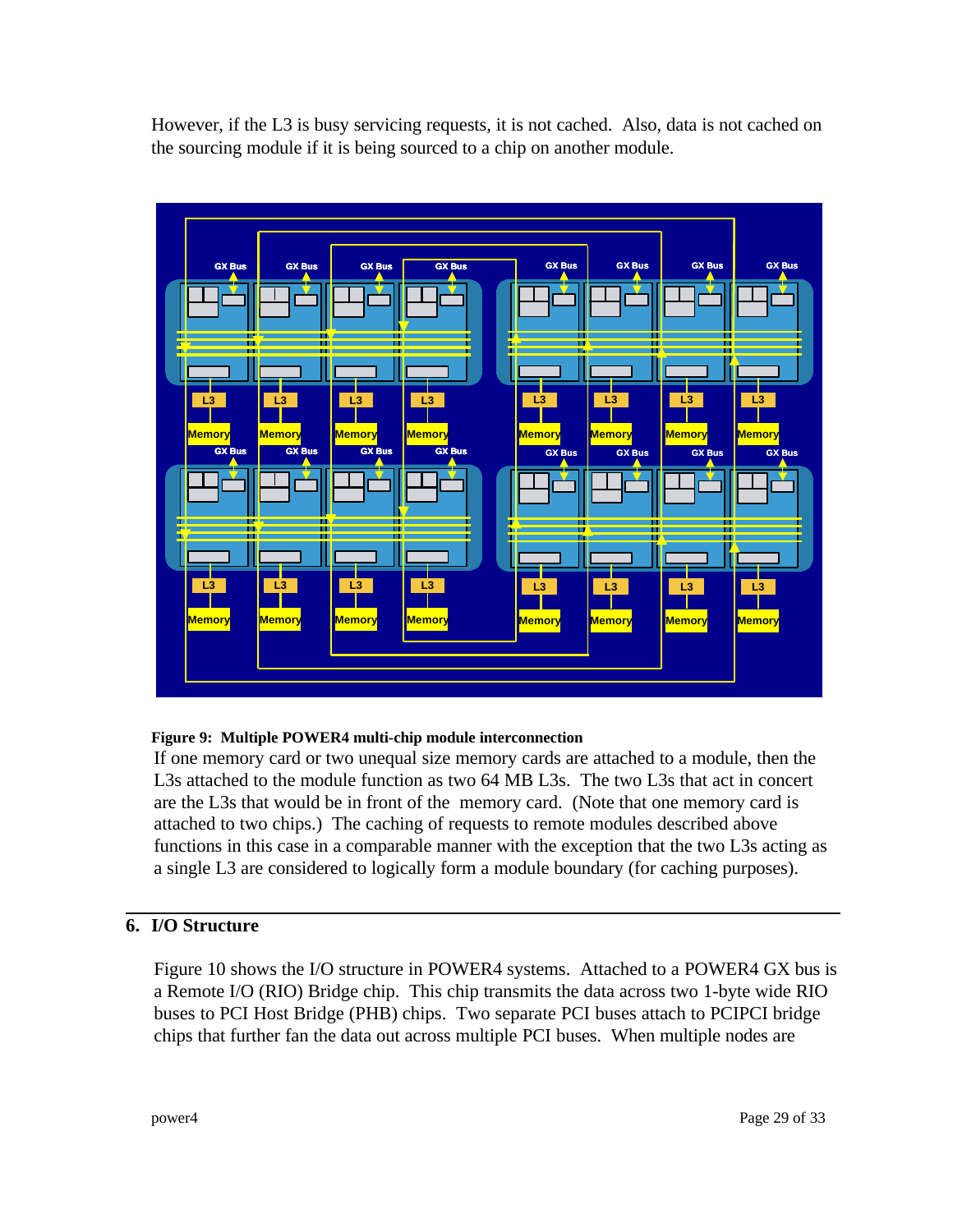However, if the L3 is busy servicing requests, it is not cached. Also, data is not cached on the sourcing module if it is being sourced to a chip on another module.



## **Figure 9: Multiple POWER4 multi-chip module interconnection**

If one memory card or two unequal size memory cards are attached to a module, then the L3s attached to the module function as two 64 MB L3s. The two L3s that act in concert are the L3s that would be in front of the memory card. (Note that one memory card is attached to two chips.) The caching of requests to remote modules described above functions in this case in a comparable manner with the exception that the two L3s acting as a single L3 are considered to logically form a module boundary (for caching purposes).

## **6. I/O Structure**

Figure 10 shows the I/O structure in POWER4 systems. Attached to a POWER4 GX bus is a Remote I/O (RIO) Bridge chip. This chip transmits the data across two 1-byte wide RIO buses to PCI Host Bridge (PHB) chips. Two separate PCI buses attach to PCIPCI bridge chips that further fan the data out across multiple PCI buses. When multiple nodes are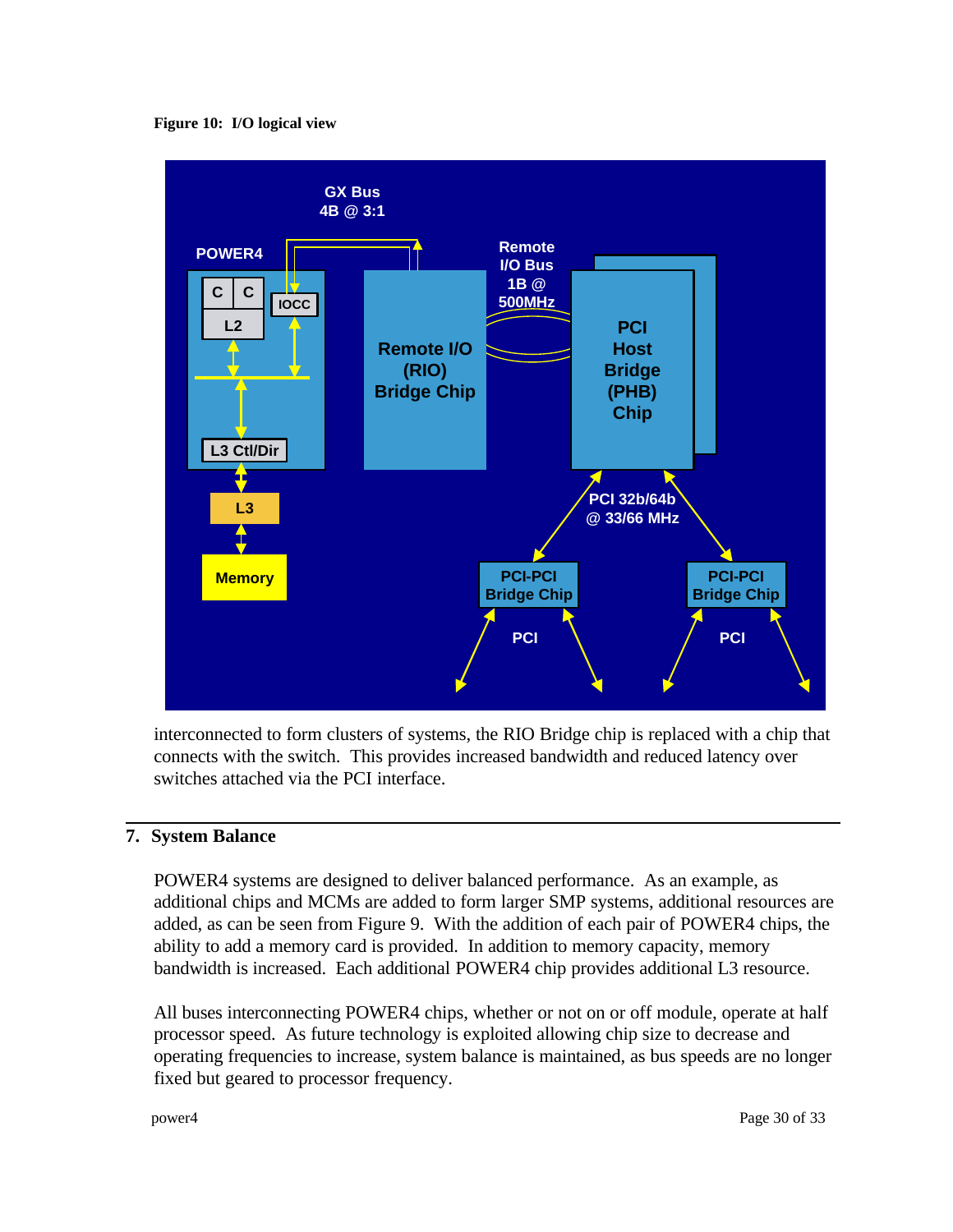**Figure 10: I/O logical view**



interconnected to form clusters of systems, the RIO Bridge chip is replaced with a chip that connects with the switch. This provides increased bandwidth and reduced latency over switches attached via the PCI interface.

# **7. System Balance**

POWER4 systems are designed to deliver balanced performance. As an example, as additional chips and MCMs are added to form larger SMP systems, additional resources are added, as can be seen from Figure 9. With the addition of each pair of POWER4 chips, the ability to add a memory card is provided. In addition to memory capacity, memory bandwidth is increased. Each additional POWER4 chip provides additional L3 resource.

All buses interconnecting POWER4 chips, whether or not on or off module, operate at half processor speed. As future technology is exploited allowing chip size to decrease and operating frequencies to increase, system balance is maintained, as bus speeds are no longer fixed but geared to processor frequency.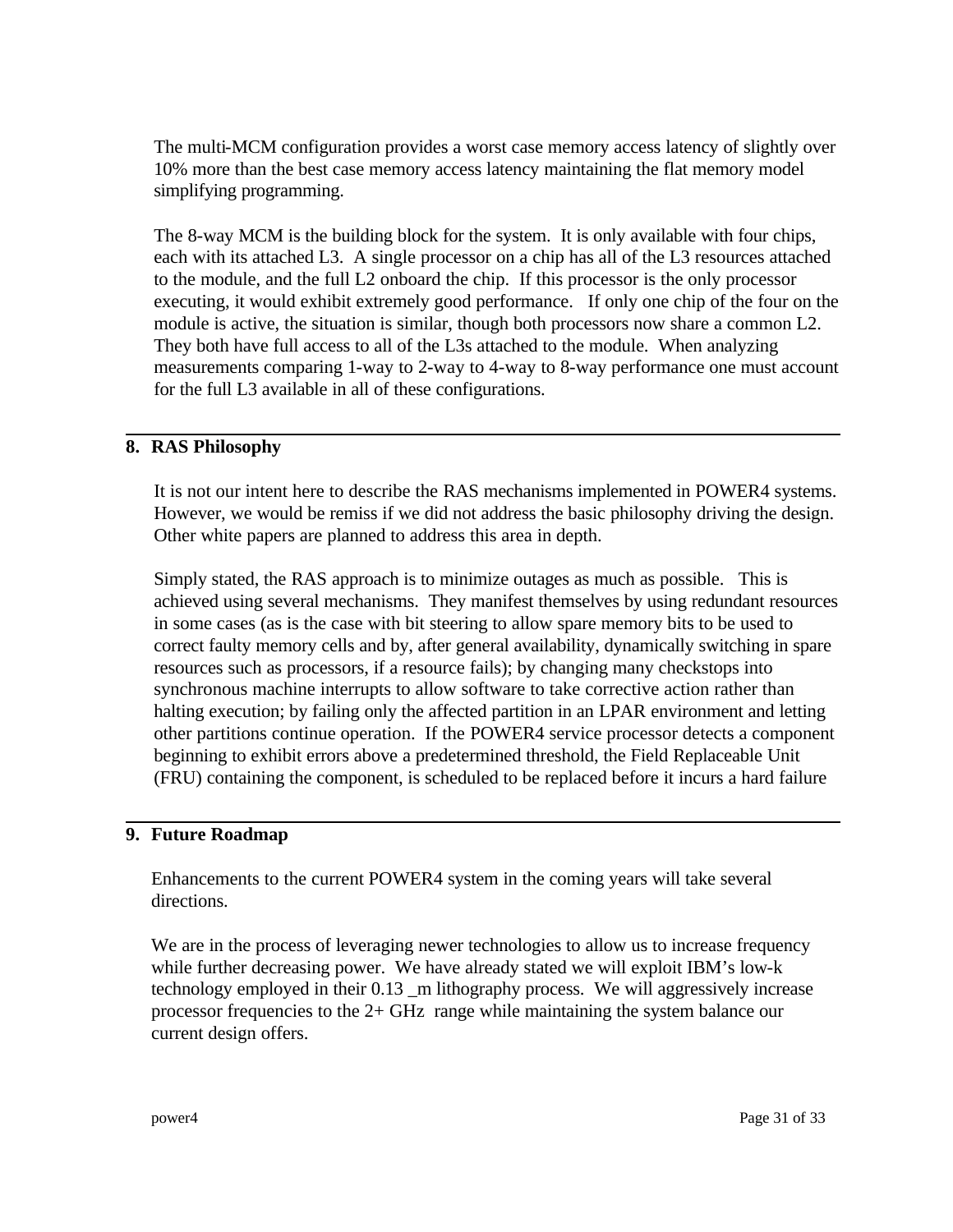The multi-MCM configuration provides a worst case memory access latency of slightly over 10% more than the best case memory access latency maintaining the flat memory model simplifying programming.

The 8-way MCM is the building block for the system. It is only available with four chips, each with its attached L3. A single processor on a chip has all of the L3 resources attached to the module, and the full L2 onboard the chip. If this processor is the only processor executing, it would exhibit extremely good performance. If only one chip of the four on the module is active, the situation is similar, though both processors now share a common L2. They both have full access to all of the L3s attached to the module. When analyzing measurements comparing 1-way to 2-way to 4-way to 8-way performance one must account for the full L3 available in all of these configurations.

## **8. RAS Philosophy**

It is not our intent here to describe the RAS mechanisms implemented in POWER4 systems. However, we would be remiss if we did not address the basic philosophy driving the design. Other white papers are planned to address this area in depth.

Simply stated, the RAS approach is to minimize outages as much as possible. This is achieved using several mechanisms. They manifest themselves by using redundant resources in some cases (as is the case with bit steering to allow spare memory bits to be used to correct faulty memory cells and by, after general availability, dynamically switching in spare resources such as processors, if a resource fails); by changing many checkstops into synchronous machine interrupts to allow software to take corrective action rather than halting execution; by failing only the affected partition in an LPAR environment and letting other partitions continue operation. If the POWER4 service processor detects a component beginning to exhibit errors above a predetermined threshold, the Field Replaceable Unit (FRU) containing the component, is scheduled to be replaced before it incurs a hard failure

#### **9. Future Roadmap**

Enhancements to the current POWER4 system in the coming years will take several directions.

We are in the process of leveraging newer technologies to allow us to increase frequency while further decreasing power. We have already stated we will exploit IBM's low-k technology employed in their 0.13 \_m lithography process. We will aggressively increase processor frequencies to the 2+ GHz range while maintaining the system balance our current design offers.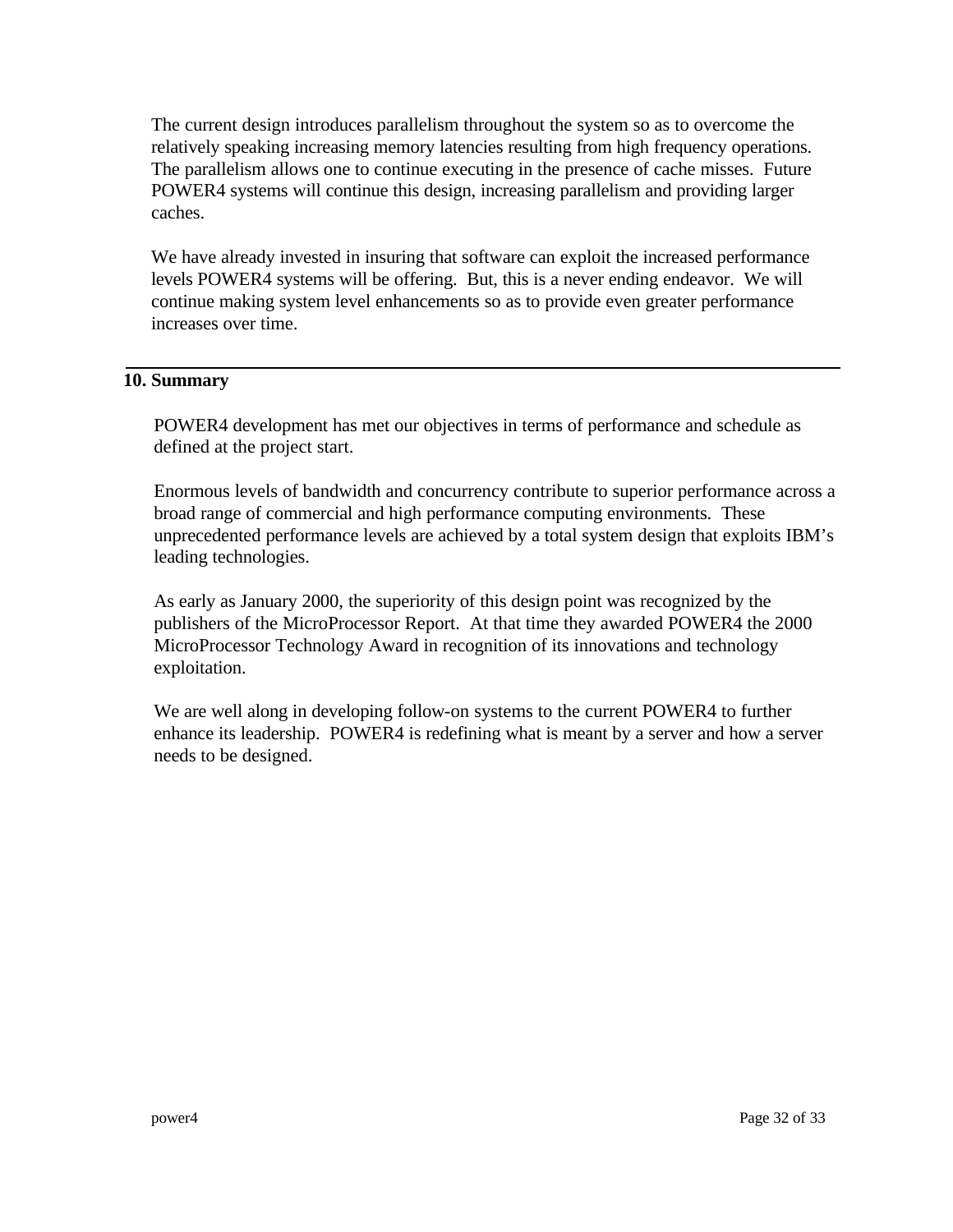The current design introduces parallelism throughout the system so as to overcome the relatively speaking increasing memory latencies resulting from high frequency operations. The parallelism allows one to continue executing in the presence of cache misses. Future POWER4 systems will continue this design, increasing parallelism and providing larger caches.

We have already invested in insuring that software can exploit the increased performance levels POWER4 systems will be offering. But, this is a never ending endeavor. We will continue making system level enhancements so as to provide even greater performance increases over time.

#### **10. Summary**

POWER4 development has met our objectives in terms of performance and schedule as defined at the project start.

Enormous levels of bandwidth and concurrency contribute to superior performance across a broad range of commercial and high performance computing environments. These unprecedented performance levels are achieved by a total system design that exploits IBM's leading technologies.

As early as January 2000, the superiority of this design point was recognized by the publishers of the MicroProcessor Report. At that time they awarded POWER4 the 2000 MicroProcessor Technology Award in recognition of its innovations and technology exploitation.

We are well along in developing follow-on systems to the current POWER4 to further enhance its leadership. POWER4 is redefining what is meant by a server and how a server needs to be designed.